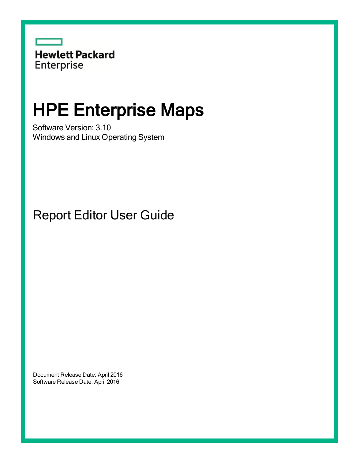

# HPE Enterprise Maps

Software Version: 3.10 Windows and Linux Operating System

Report Editor User Guide

Document Release Date: April 2016 Software Release Date: April 2016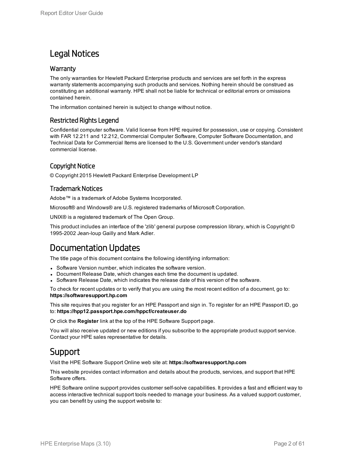### Legal Notices

#### **Warranty**

The only warranties for Hewlett Packard Enterprise products and services are set forth in the express warranty statements accompanying such products and services. Nothing herein should be construed as constituting an additional warranty. HPE shall not be liable for technical or editorial errors or omissions contained herein.

The information contained herein is subject to change without notice.

#### Restricted Rights Legend

Confidential computer software. Valid license from HPE required for possession, use or copying. Consistent with FAR 12.211 and 12.212, Commercial Computer Software, Computer Software Documentation, and Technical Data for Commercial Items are licensed to the U.S. Government under vendor's standard commercial license.

#### Copyright Notice

© Copyright 2015 Hewlett Packard Enterprise Development LP

#### Trademark Notices

Adobe™ is a trademark of Adobe Systems Incorporated.

Microsoft® and Windows® are U.S. registered trademarks of Microsoft Corporation.

UNIX® is a registered trademark of The Open Group.

This product includes an interface of the 'zlib' general purpose compression library, which is Copyright © 1995-2002 Jean-loup Gailly and Mark Adler.

### Documentation Updates

The title page of this document contains the following identifying information:

- Software Version number, which indicates the software version.
- Document Release Date, which changes each time the document is updated.
- <sup>l</sup> Software Release Date, which indicates the release date of this version of the software.

To check for recent updates or to verify that you are using the most recent edition of a document, go to: **https://softwaresupport.hp.com**

This site requires that you register for an HPE Passport and sign in. To register for an HPE Passport ID, go to: **https://hpp12.passport.hpe.com/hppcf/createuser.do**

Or click the **Register** link at the top of the HPE Software Support page.

You will also receive updated or new editions if you subscribe to the appropriate product support service. Contact your HPE sales representative for details.

### Support

Visit the HPE Software Support Online web site at: **https://softwaresupport.hp.com**

This website provides contact information and details about the products, services, and support that HPE Software offers.

HPE Software online support provides customer self-solve capabilities. It provides a fast and efficient way to access interactive technical support tools needed to manage your business. As a valued support customer, you can benefit by using the support website to: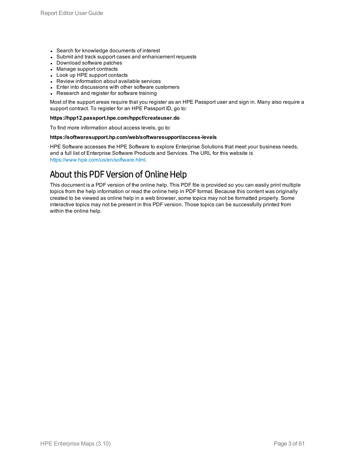- Search for knowledge documents of interest
- Submit and track support cases and enhancement requests
- Download software patches
- Manage support contracts
- Look up HPE support contacts
- Review information about available services
- Enter into discussions with other software customers
- Research and register for software training

Most of the support areas require that you register as an HPE Passport user and sign in. Many also require a support contract. To register for an HPE Passport ID, go to:

#### **https://hpp12.passport.hpe.com/hppcf/createuser.do**

To find more information about access levels, go to:

#### **https://softwaresupport.hp.com/web/softwaresupport/access-levels**

HPE Software accesses the HPE Software to explore Enterprise Solutions that meet your business needs, and a full list of Enterprise Software Products and Services. The URL for this website is <https://www.hpe.com/us/en/software.html>.

### About this PDF Version of Online Help

This document is a PDF version of the online help. This PDF file is provided so you can easily print multiple topics from the help information or read the online help in PDF format. Because this content was originally created to be viewed as online help in a web browser, some topics may not be formatted properly. Some interactive topics may not be present in this PDF version. Those topics can be successfully printed from within the online help.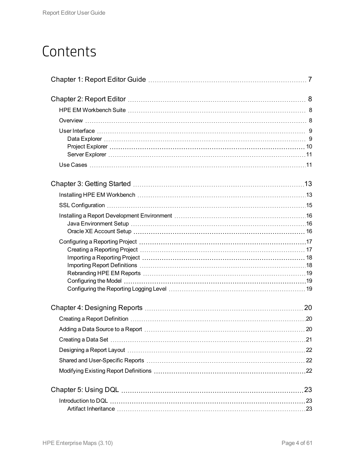## **Contents**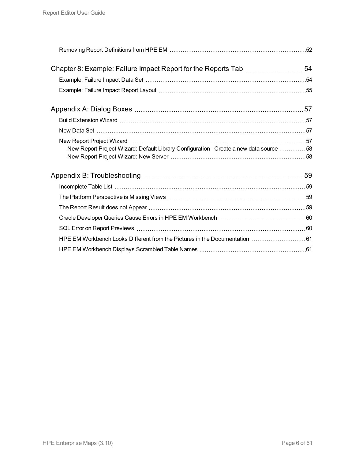| Chapter 8: Example: Failure Impact Report for the Reports Tab 54                       |  |
|----------------------------------------------------------------------------------------|--|
|                                                                                        |  |
|                                                                                        |  |
|                                                                                        |  |
|                                                                                        |  |
|                                                                                        |  |
|                                                                                        |  |
| New Report Project Wizard: Default Library Configuration - Create a new data source 58 |  |
|                                                                                        |  |
|                                                                                        |  |
|                                                                                        |  |
|                                                                                        |  |
|                                                                                        |  |
|                                                                                        |  |
| HPE EM Workbench Looks Different from the Pictures in the Documentation  61            |  |
|                                                                                        |  |
|                                                                                        |  |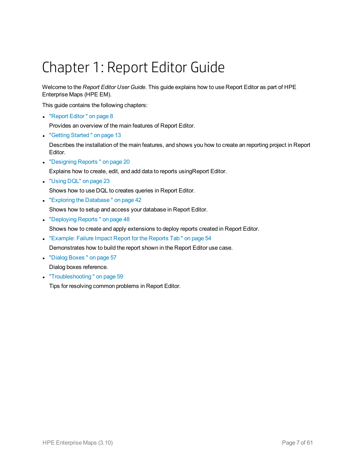# <span id="page-6-0"></span>Chapter 1: Report Editor Guide

Welcome to the *Report Editor User Guide*. This guide explains how to use Report Editor as part of HPE Enterprise Maps (HPE EM).

This guide contains the following chapters:

• ["Report](#page-7-0) Editor" on page 8

Provides an overview of the main features of Report Editor.

• "Getting Started" on page 13

Describes the installation of the main features, and shows you how to create an reporting project in Report Editor.

• ["Designing](#page-19-0) Reports" on page 20

Explains how to create, edit, and add data to reports usingReport Editor.

• ["Using](#page-22-0) DQL" on page 23

Shows how to use DQL to creates queries in Report Editor.

• "Exploring the Database" on page 42

Shows how to setup and access your database in Report Editor.

- ["Deploying](#page-47-0) Reports" on page 48
- Shows how to create and apply extensions to deploy reports created in Report Editor.
- ["Example:](#page-53-0) Failure Impact Report for the Reports Tab " on page 54

Demonstrates how to build the report shown in the Report Editor use case.

- "Dialog Boxes" on page 57 Dialog boxes reference.
- "Troubleshooting" on page 59

Tips for resolving common problems in Report Editor.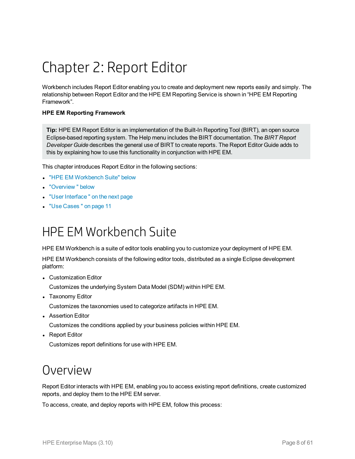# <span id="page-7-0"></span>Chapter 2: Report Editor

Workbench includes Report Editor enabling you to create and deployment new reports easily and simply. The relationship between Report Editor and the HPE EM Reporting Service is shown in "HPE EM Reporting Framework".

#### **HPE EM Reporting Framework**

**Tip:** HPE EM Report Editor is an implementation of the Built-In Reporting Tool (BIRT), an open source Eclipse-based reporting system. The Help menu includes the BIRT documentation. The *BIRT Report Developer Guide* describes the general use of BIRT to create reports. The Report Editor Guide adds to this by explaining how to use this functionality in conjunction with HPE EM.

This chapter introduces Report Editor in the following sections:

- "HPE EM [Workbench](#page-7-1) Suite" below
- <sup>l</sup> ["Overview "](#page-7-2) below
- "User Interface" on the next page
- <span id="page-7-1"></span>**.** "Use Cases" on page 11

## HPE EM Workbench Suite

HPE EM Workbench is a suite of editor tools enabling you to customize your deployment of HPE EM.

HPE EM Workbench consists of the following editor tools, distributed as a single Eclipse development platform:

• Customization Editor

Customizes the underlying System Data Model (SDM) within HPE EM.

• Taxonomy Editor

Customizes the taxonomies used to categorize artifacts in HPE EM.

• Assertion Editor

Customizes the conditions applied by your business policies within HPE EM.

• Report Editor

<span id="page-7-2"></span>Customizes report definitions for use with HPE EM.

## Overview

Report Editor interacts with HPE EM, enabling you to access existing report definitions, create customized reports, and deploy them to the HPE EM server.

To access, create, and deploy reports with HPE EM, follow this process: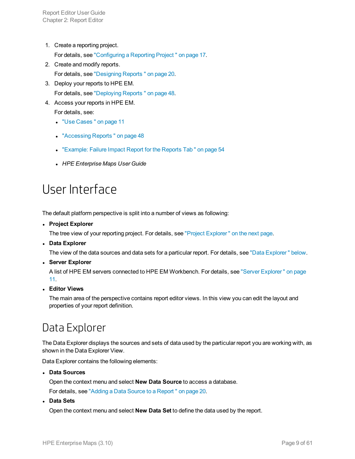- 1. Create a reporting project. For details, see ["Configuring](#page-16-0) a Reporting Project " on page 17.
- 2. Create and modify reports. For details, see ["Designing](#page-19-0) Reports " on page 20.
- 3. Deploy your reports to HPE EM. For details, see ["Deploying](#page-47-0) Reports " on page 48.
- 4. Access your reports in HPE EM.

For details, see:

- <sup>l</sup> "Use [Cases "](#page-10-1) on page 11
- ["Accessing](#page-47-1) Reports" on page 48
- ["Example:](#page-53-0) Failure Impact Report for the Reports Tab " on page 54
- <span id="page-8-0"></span><sup>l</sup> *HPE Enterprise Maps User Guide*

## User Interface

The default platform perspective is split into a number of views as following:

<sup>l</sup> **Project Explorer**

The tree view of your reporting project. For details, see "Project [Explorer "](#page-9-0) on the next page.

<sup>l</sup> **Data Explorer**

The view of the data sources and data sets for a particular report. For details, see "Data Explorer" below.

<sup>l</sup> **Server Explorer**

A list of HPE EM servers connected to HPE EM Workbench. For details, see "Server [Explorer "](#page-10-0) on page [11](#page-10-0).

<sup>l</sup> **Editor Views**

<span id="page-8-1"></span>The main area of the perspective contains report editor views. In this view you can edit the layout and properties of your report definition.

## Data Explorer

The Data Explorer displays the sources and sets of data used by the particular report you are working with, as shown in the Data Explorer View.

Data Explorer contains the following elements:

<sup>l</sup> **Data Sources**

Open the context menu and select **New Data Source** to access a database.

For details, see "Adding a Data Source to a [Report "](#page-19-2) on page 20.

<sup>l</sup> **Data Sets**

Open the context menu and select **New Data Set** to define the data used by the report.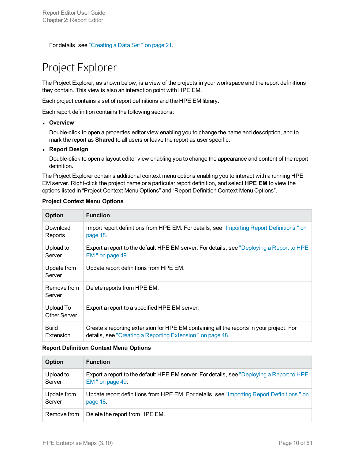<span id="page-9-0"></span>For details, see ["Creating](#page-20-0) a Data Set " on page 21.

### Project Explorer

The Project Explorer, as shown below, is a view of the projects in your workspace and the report definitions they contain. This view is also an interaction point with HPE EM.

Each project contains a set of report definitions and the HPE EM library.

Each report definition contains the following sections:

#### **.** Overview

Double-click to open a properties editor view enabling you to change the name and description, and to mark the report as **Shared** to all users or leave the report as user specific.

#### <sup>l</sup> **Report Design**

Double-click to open a layout editor view enabling you to change the appearance and content of the report definition.

The Project Explorer contains additional context menu options enabling you to interact with a running HPE EM server. Right-click the project name or a particular report definition, and select **HPE EM** to view the options listed in "Project Context Menu Options" and "Report Definition Context Menu Options".

| Option                    | <b>Function</b>                                                                                                                                      |
|---------------------------|------------------------------------------------------------------------------------------------------------------------------------------------------|
| Download<br>Reports       | Import report definitions from HPE EM. For details, see "Importing Report Definitions" on<br>page 18.                                                |
| Upload to<br>Server       | Export a report to the default HPE EM server. For details, see "Deploying a Report to HPE<br>EM " on page 49.                                        |
| Update from<br>Server     | Update report definitions from HPE EM.                                                                                                               |
| Remove from<br>Server     | Delete reports from HPE EM.                                                                                                                          |
| Upload To<br>Other Server | Export a report to a specified HPE EM server.                                                                                                        |
| <b>Build</b><br>Extension | Create a reporting extension for HPE EM containing all the reports in your project. For<br>details, see "Creating a Reporting Extension" on page 48. |

#### **Project Context Menu Options**

#### **Report Definition Context Menu Options**

| Option      | <b>Function</b>                                                                           |
|-------------|-------------------------------------------------------------------------------------------|
| Upload to   | Export a report to the default HPE EM server. For details, see "Deploying a Report to HPE |
| Server      | EM" on page 49.                                                                           |
| Update from | Update report definitions from HPE EM. For details, see "Importing Report Definitions" on |
| Server      | page 18.                                                                                  |
| Remove from | Delete the report from HPE EM.                                                            |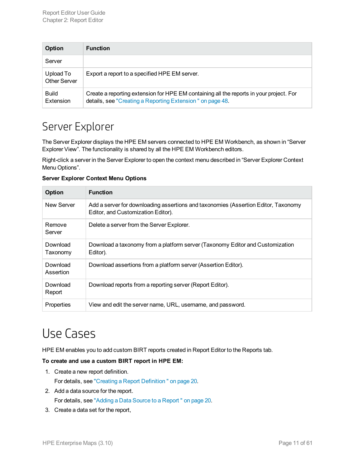| Option                           | <b>Function</b>                                                                                                                                      |
|----------------------------------|------------------------------------------------------------------------------------------------------------------------------------------------------|
| Server                           |                                                                                                                                                      |
| Upload To<br><b>Other Server</b> | Export a report to a specified HPE EM server.                                                                                                        |
| <b>Build</b><br>Extension        | Create a reporting extension for HPE EM containing all the reports in your project. For<br>details, see "Creating a Reporting Extension" on page 48. |

### <span id="page-10-0"></span>Server Explorer

The Server Explorer displays the HPE EM servers connected to HPE EM Workbench, as shown in "Server Explorer View". The functionality is shared by all the HPE EM Workbench editors.

Right-click a server in the Server Explorer to open the context menu described in "Server Explorer Context Menu Options".

| <b>Server Explorer Context Menu Options</b> |
|---------------------------------------------|
|---------------------------------------------|

| Option                | <b>Function</b>                                                                                                          |
|-----------------------|--------------------------------------------------------------------------------------------------------------------------|
| New Server            | Add a server for downloading assertions and taxonomies (Assertion Editor, Taxonomy<br>Editor, and Customization Editor). |
| Remove<br>Server      | Delete a server from the Server Explorer.                                                                                |
| Download<br>Taxonomy  | Download a taxonomy from a platform server (Taxonomy Editor and Customization<br>Editor).                                |
| Download<br>Assertion | Download assertions from a platform server (Assertion Editor).                                                           |
| Download<br>Report    | Download reports from a reporting server (Report Editor).                                                                |
| Properties            | View and edit the server name, URL, username, and password.                                                              |

## <span id="page-10-1"></span>Use Cases

HPE EM enables you to add custom BIRT reports created in Report Editor to the Reports tab.

#### **To create and use a custom BIRT report in HPE EM:**

- 1. Create a new report definition. For details, see "Creating a Report [Definition "](#page-19-1) on page 20.
- 2. Add a data source for the report. For details, see "Adding a Data Source to a [Report "](#page-19-2) on page 20.
- 3. Create a data set for the report,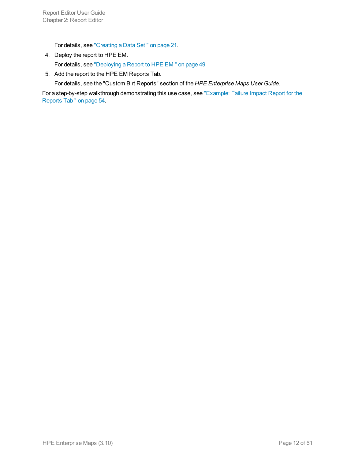For details, see ["Creating](#page-20-0) a Data Set " on page 21.

- 4. Deploy the report to HPE EM. For details, see ["Deploying](#page-48-0) a Report to HPE EM " on page 49.
- 5. Add the report to the HPE EM Reports Tab.

For details, see the "Custom Birt Reports" section of the *HPE Enterprise Maps User Guide*.

For a step-by-step walkthrough demonstrating this use case, see ["Example:](#page-53-0) Failure Impact Report for the [Reports](#page-53-0) Tab " on page 54.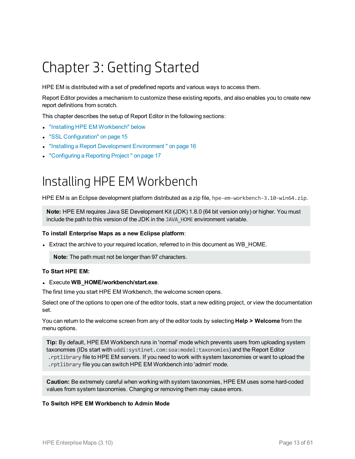# <span id="page-12-0"></span>Chapter 3: Getting Started

HPE EM is distributed with a set of predefined reports and various ways to access them.

Report Editor provides a mechanism to customize these existing reports, and also enables you to create new report definitions from scratch.

This chapter describes the setup of Report Editor in the following sections:

- "Installing HPE [EM Workbench"](#page-12-1) below
- "SSL [Configuration"](#page-14-0) on page 15
- **.** "Installing a Report Development Environment" on page 16
- <span id="page-12-1"></span>• ["Configuring](#page-16-0) a Reporting Project" on page 17

## Installing HPE EM Workbench

HPE EM is an Eclipse development platform distributed as a zip file, hpe-em-workbench-3.10-win64.zip.

**Note:** HPE EM requires Java SE Development Kit (JDK) 1.8.0 (64 bit version only) or higher. You must include the path to this version of the JDK in the JAVA\_HOME environment variable.

#### **To install Enterprise Maps as a new Eclipse platform**:

• Extract the archive to your required location, referred to in this document as WB\_HOME.

**Note:** The path must not be longer than 97 characters.

#### **To Start HPE EM:**

<sup>l</sup> Execute **WB\_HOME/workbench/start.exe**.

The first time you start HPE EM Workbench, the welcome screen opens.

Select one of the options to open one of the editor tools, start a new editing project, or view the documentation set.

You can return to the welcome screen from any of the editor tools by selecting **Help > Welcome** from the menu options.

**Tip:** By default, HPE EM Workbench runs in 'normal' mode which prevents users from uploading system taxonomies (IDs start with uddi:systinet.com:soa:model:taxonomies) and the Report Editor .rptlibrary file to HPE EM servers. If you need to work with system taxonomies or want to upload the .rptlibrary file you can switch HPE EM Workbench into 'admin' mode.

**Caution:** Be extremely careful when working with system taxonomies, HPE EM uses some hard-coded values from system taxonomies. Changing or removing them may cause errors.

#### **To Switch HPE EM Workbench to Admin Mode**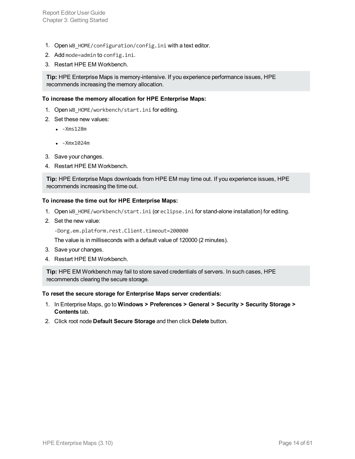- 1. Open WB HOME/configuration/config.ini with a text editor.
- 2. Add mode=admin to config.ini.
- 3. Restart HPE EM Workbench.

**Tip:** HPE Enterprise Maps is memory-intensive. If you experience performance issues, HPE recommends increasing the memory allocation.

#### **To increase the memory allocation for HPE Enterprise Maps:**

- 1. Open WB HOME/workbench/start.ini for editing.
- 2. Set these new values:
	- $\cdot$  -Xms128m
	- $\cdot$  -Xm $\times$ 1024m
- 3. Save your changes.
- 4. Restart HPE EM Workbench.

**Tip:** HPE Enterprise Maps downloads from HPE EM may time out. If you experience issues, HPE recommends increasing the time out.

#### **To increase the time out for HPE Enterprise Maps:**

- 1. Open WB\_HOME/workbench/start.ini (or eclipse.ini for stand-alone installation) for editing.
- 2. Set the new value:

-Dorg.em.platform.rest.Client.timeout=200000

The value is in milliseconds with a default value of 120000 (2 minutes).

- 3. Save your changes.
- 4. Restart HPE EM Workbench.

**Tip:** HPE EM Workbench may fail to store saved credentials of servers. In such cases, HPE recommends clearing the secure storage.

#### **To reset the secure storage for Enterprise Maps server credentials:**

- 1. In Enterprise Maps, go to **Windows > Preferences > General > Security > Security Storage > Contents** tab.
- 2. Click root node **Default Secure Storage** and then click **Delete** button.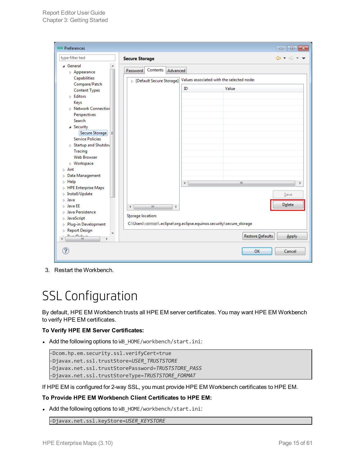| P <sub>references</sub>                                       |                                                                  |                                           |                  | $\Box$ $\Box$ $\Box$                                        |
|---------------------------------------------------------------|------------------------------------------------------------------|-------------------------------------------|------------------|-------------------------------------------------------------|
| type filter text                                              | <b>Secure Storage</b>                                            |                                           |                  | $\Leftrightarrow$ $\rightarrow$ $\rightarrow$ $\rightarrow$ |
| ⊿ General<br>▲<br>$\triangleright$ Appearance<br>Capabilities | Contents<br>Advanced<br>Password                                 |                                           |                  |                                                             |
| Compare/Patch                                                 | > [Default Secure Storage]                                       | Values associated with the selected node: |                  |                                                             |
| <b>Content Types</b>                                          |                                                                  | ID                                        | Value            |                                                             |
| $\triangleright$ Editors                                      |                                                                  |                                           |                  |                                                             |
| Keys                                                          |                                                                  |                                           |                  |                                                             |
| <b>D</b> Network Connection                                   |                                                                  |                                           |                  |                                                             |
| Perspectives                                                  |                                                                  |                                           |                  |                                                             |
| Search                                                        |                                                                  |                                           |                  |                                                             |
| ⊿ Security                                                    |                                                                  |                                           |                  |                                                             |
| Secure Storage<br>Ξ                                           |                                                                  |                                           |                  |                                                             |
| <b>Service Policies</b>                                       |                                                                  |                                           |                  |                                                             |
| > Startup and Shutdov                                         |                                                                  |                                           |                  |                                                             |
| Tracing                                                       |                                                                  |                                           |                  |                                                             |
| <b>Web Browser</b>                                            |                                                                  |                                           |                  |                                                             |
| $\triangleright$ Workspace                                    |                                                                  |                                           |                  |                                                             |
| $\triangleright$ Ant                                          |                                                                  |                                           |                  |                                                             |
| Data Management<br>Þ<br>$\triangleright$ Help                 |                                                                  |                                           |                  |                                                             |
| > HPE Enterprise Maps                                         |                                                                  | $\blacktriangleleft$                      | m.               | Þ                                                           |
| $\triangleright$ Install/Update                               |                                                                  |                                           |                  | Save                                                        |
| ⊳ Java                                                        |                                                                  |                                           |                  |                                                             |
| Java EE<br>ь                                                  | Ш<br>∢<br>b.                                                     |                                           |                  | Delete                                                      |
| Java Persistence<br>D                                         |                                                                  |                                           |                  |                                                             |
| JavaScript<br>D                                               | Storage location:                                                |                                           |                  |                                                             |
| Plug-in Development<br>D                                      | C:\Users\: \.eclipse\org.eclipse.equinox.security\secure_storage |                                           |                  |                                                             |
| Report Design                                                 |                                                                  |                                           |                  |                                                             |
| $D_{\text{max}}/D_{\text{min}}$<br>Ш<br>k<br>∢                |                                                                  |                                           | Restore Defaults | Apply                                                       |
|                                                               |                                                                  |                                           | OK               | Cancel                                                      |

<span id="page-14-0"></span>3. Restart the Workbench.

## SSL Configuration

By default, HPE EM Workbench trusts all HPE EM server certificates. You may want HPE EM Workbench to verify HPE EM certificates.

#### **To Verify HPE EM Server Certificates:**

• Add the following options to WB\_HOME/workbench/start.ini:

```
-Dcom.hp.em.security.ssl.verifyCert=true
-Djavax.net.ssl.trustStore=USER_TRUSTSTORE
-Djavax.net.ssl.trustStorePassword=TRUSTSTORE_PASS
-Djavax.net.ssl.trustStoreType=TRUSTSTORE_FORMAT
```
If HPE EM is configured for 2-way SSL, you must provide HPE EM Workbench certificates to HPE EM.

#### **To Provide HPE EM Workbench Client Certificates to HPE EM:**

• Add the following options to WB\_HOME/workbench/start.ini:

-Djavax.net.ssl.keyStore=*USER\_KEYSTORE*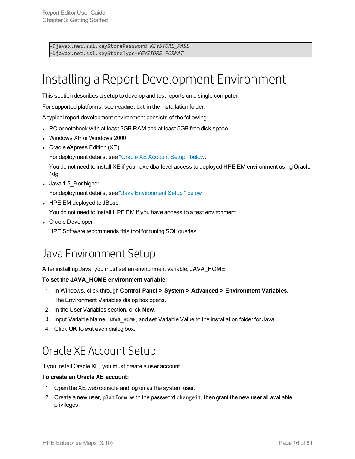<span id="page-15-0"></span>-Djavax.net.ssl.keyStorePassword=*KEYSTORE\_PASS* -Djavax.net.ssl.keyStoreType=*KEYSTORE\_FORMAT*

## Installing a Report Development Environment

This section describes a setup to develop and test reports on a single computer.

For supported platforms, see readme.txt in the installation folder.

A typical report development environment consists of the following:

- PC or notebook with at least 2GB RAM and at least 5GB free disk space
- Windows XP or Windows 2000
- Oracle eXpress Edition (XE)

For deployment details, see "Oracle XE [Account](#page-15-2) Setup " below.

You do not need to install XE if you have dba-level access to deployed HPE EM environment using Oracle 10g.

- $\bullet$  Java 1.5\_9 or higher For deployment details, see "Java [Environment](#page-15-1) Setup " below.
- HPE EM deployed to JBoss

You do not need to install HPE EM if you have access to a test environment.

• Oracle Developer

<span id="page-15-1"></span>HPE Software recommends this tool for tuning SQL queries.

### Java Environment Setup

After installing Java, you must set an environment variable, JAVA\_HOME.

#### **To set the JAVA\_HOME environment variable:**

- 1. In Windows, click through **Control Panel > System > Advanced > Environment Variables**. The Environment Variables dialog box opens.
- 2. In the User Variables section, click **New**.
- 3. Input Variable Name, **JAVA\_HOME**, and set Variable Value to the installation folder for Java.
- <span id="page-15-2"></span>4. Click **OK** to exit each dialog box.

### Oracle XE Account Setup

If you install Oracle XE, you must create a user account.

#### **To create an Oracle XE account:**

- 1. Open the XE web console and log on as the system user.
- 2. Create a new user, **platform**, with the password **changeit**, then grant the new user all available privileges.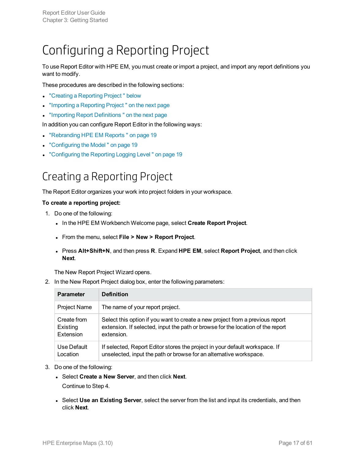## <span id="page-16-0"></span>Configuring a Reporting Project

To use Report Editor with HPE EM, you must create or import a project, and import any report definitions you want to modify.

These procedures are described in the following sections:

- "Creating a [Reporting](#page-16-1) Project" below
- <sup>l</sup> ["Importing](#page-17-0) a Reporting Project " on the next page
- "Importing Report Definitions" on the next page

In addition you can configure Report Editor in the following ways:

- ["Rebranding](#page-18-0) HPE EM Reports" on page 19
- ["Configuring](#page-18-1) the Model" on page 19
- <span id="page-16-1"></span>• ["Configuring](#page-18-2) the Reporting Logging Level" on page 19

### Creating a Reporting Project

The Report Editor organizes your work into project folders in your workspace.

#### **To create a reporting project:**

- 1. Do one of the following:
	- <sup>l</sup> In the HPE EM Workbench Welcome page, select **Create Report Project**.
	- <sup>l</sup> From the menu, select **File > New > Report Project**.
	- <sup>l</sup> Press **Alt+Shift+N**, and then press **R**. Expand **HPE EM**, select **Report Project**, and then click **Next**.

The New Report Project Wizard opens.

2. In the New Report Project dialog box, enter the following parameters:

| <b>Parameter</b>    | <b>Definition</b>                                                               |
|---------------------|---------------------------------------------------------------------------------|
| <b>Project Name</b> | The name of your report project.                                                |
| Create from         | Select this option if you want to create a new project from a previous report   |
| Existing            | extension. If selected, input the path or browse for the location of the report |
| Extension           | extension.                                                                      |
| Use Default         | If selected, Report Editor stores the project in your default workspace. If     |
| Location            | unselected, input the path or browse for an alternative workspace.              |

- 3. Do one of the following:
	- <sup>l</sup> Select **Create a New Server**, and then click **Next**. Continue to Step 4.
	- <sup>l</sup> Select **Use an Existing Server**, select the server from the list and input its credentials, and then click **Next**.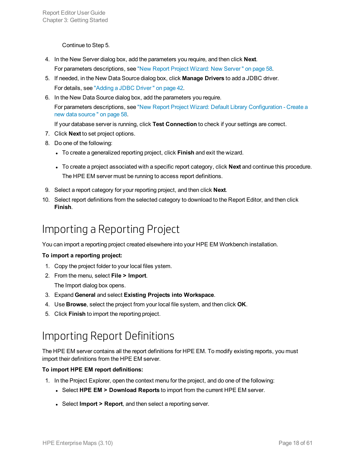Continue to Step 5.

- 4. In the New Server dialog box, add the parameters you require, and then click **Next**. For parameters descriptions, see "New Report Project Wizard: New [Server "](#page-57-1) on page 58.
- 5. If needed, in the New Data Source dialog box, click **Manage Drivers** to add a JDBC driver. For details, see ["Adding](#page-41-2) a JDBC Driver " on page 42.
- 6. In the New Data Source dialog box, add the parameters you require. For parameters descriptions, see "New Report Project Wizard: Default Library [Configuration](#page-57-0) - Create a new data [source "](#page-57-0) on page 58.

If your database server is running, click **Test Connection** to check if your settings are correct.

- 7. Click **Next** to set project options.
- 8. Do one of the following:
	- **To create a generalized reporting project, click Finish and exit the wizard.**
	- I To create a project associated with a specific report category, click **Next** and continue this procedure. The HPE EM server must be running to access report definitions.
- 9. Select a report category for your reporting project, and then click **Next**.
- <span id="page-17-0"></span>10. Select report definitions from the selected category to download to the Report Editor, and then click **Finish**.

### Importing a Reporting Project

You can import a reporting project created elsewhere into your HPE EM Workbench installation.

#### **To import a reporting project:**

- 1. Copy the project folder to your local files ystem.
- 2. From the menu, select **File > Import**. The Import dialog box opens.
- 3. Expand **General** and select **Existing Projects into Workspace**.
- 4. Use **Browse**, select the project from your local file system, and then click **OK**.
- <span id="page-17-1"></span>5. Click **Finish** to import the reporting project.

### Importing Report Definitions

The HPE EM server contains all the report definitions for HPE EM. To modify existing reports, you must import their definitions from the HPE EM server.

#### **To import HPE EM report definitions:**

- 1. In the Project Explorer, open the context menu for the project, and do one of the following:
	- <sup>l</sup> Select **HPE EM > Download Reports** to import from the current HPE EM server.
	- **Select Import > Report**, and then select a reporting server.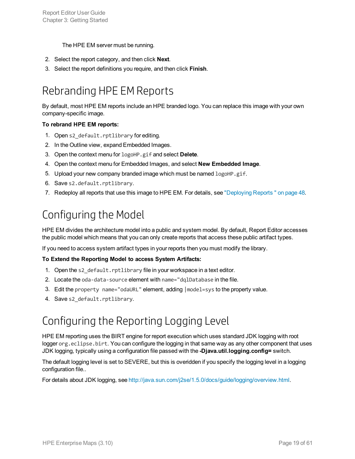The HPE EM server must be running.

- 2. Select the report category, and then click **Next**.
- <span id="page-18-0"></span>3. Select the report definitions you require, and then click **Finish**.

### Rebranding HPE EMReports

By default, most HPE EM reports include an HPE branded logo. You can replace this image with your own company-specific image.

#### **To rebrand HPE EM reports:**

- 1. Open s2 default.rptlibrary for editing.
- 2. In the Outline view, expand Embedded Images.
- 3. Open the context menu for logoHP.gif and select **Delete**.
- 4. Open the context menu for Embedded Images, and select **New Embedded Image**.
- 5. Upload your new company branded image which must be named logoHP.gif.
- 6. Save s2.default.rptlibrary.
- <span id="page-18-1"></span>7. Redeploy all reports that use this image to HPE EM. For details, see ["Deploying](#page-47-0) Reports " on page 48.

### Configuring the Model

HPE EM divides the architecture model into a public and system model. By default, Report Editor accesses the public model which means that you can only create reports that access these public artifact types.

If you need to access system artifact types in your reports then you must modify the library.

#### **To Extend the Reporting Model to access System Artifacts:**

- 1. Open the s2 default.rptlibrary file in your workspace in a text editor.
- 2. Locate the oda-data-source element with name="dqlDatabase in the file.
- 3. Edit the property name="odaURL" element, adding |model=sys to the property value.
- <span id="page-18-2"></span>4. Save s2 default.rptlibrary.

### Configuring the Reporting Logging Level

HPE EM reporting uses the BIRT engine for report execution which uses standard JDK logging with root logger org.eclipse.birt. You can configure the logging in that same way as any other component that uses JDK logging, typically using a configuration file passed with the **-Djava.util.logging.config=** switch.

The default logging level is set to SEVERE, but this is overidden if you specify the logging level in a logging configuration file..

For details about JDK logging, see [http://java.sun.com/j2se/1.5.0/docs/guide/logging/overview.html.](http://java.sun.com/j2se/1.5.0/docs/guide/logging/overview.html)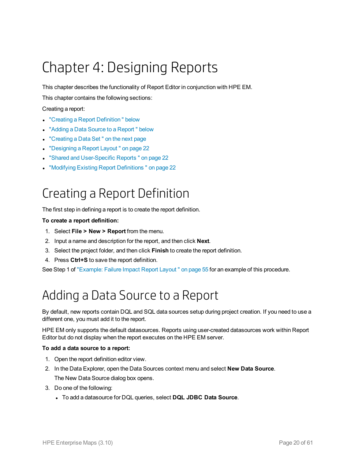# <span id="page-19-0"></span>Chapter 4: Designing Reports

This chapter describes the functionality of Report Editor in conjunction with HPE EM.

This chapter contains the following sections:

Creating a report:

- "Creating a Report Definition" below
- "Adding a Data Source to a Report" below
- ["Creating](#page-20-0) a Data Set" on the next page
- ["Designing](#page-21-0) a Report Layout" on page 22
- "Shared and [User-Specific](#page-21-1) Reports" on page 22
- <span id="page-19-1"></span>**.** "Modifying Existing Report [Definitions "](#page-21-2) on page 22

## Creating a Report Definition

The first step in defining a report is to create the report definition.

#### **To create a report definition:**

- 1. Select **File > New > Report** from the menu.
- 2. Input a name and description for the report, and then click **Next**.
- 3. Select the project folder, and then click **Finish** to create the report definition.
- 4. Press **Ctrl+S** to save the report definition.

<span id="page-19-2"></span>See Step 1 of ["Example:](#page-54-0) Failure Impact Report Layout" on page 55 for an example of this procedure.

## Adding a Data Source to a Report

By default, new reports contain DQL and SQL data sources setup during project creation. If you need to use a different one, you must add it to the report.

HPE EM only supports the default datasources. Reports using user-created datasources work within Report Editor but do not display when the report executes on the HPE EM server.

#### **To add a data source to a report:**

- 1. Open the report definition editor view.
- 2. In the Data Explorer, open the Data Sources context menu and select **New Data Source**. The New Data Source dialog box opens.
- 3. Do one of the following:
	- <sup>l</sup> To add a datasource for DQL queries, select **DQL JDBC Data Source**.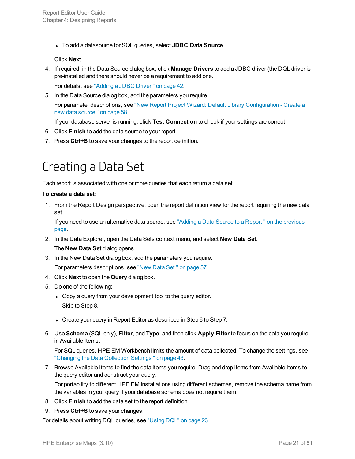<sup>l</sup> To add a datasource for SQL queries, select **JDBC Data Source**..

#### Click **Next**.

4. If required, in the Data Source dialog box, click **Manage Drivers** to add a JDBC driver (the DQL driver is pre-installed and there should never be a requirement to add one.

For details, see ["Adding](#page-41-2) a JDBC Driver " on page 42.

5. In the Data Source dialog box, add the parameters you require.

For parameter descriptions, see "New Report Project Wizard: Default Library [Configuration](#page-57-0) - Create a new data [source "](#page-57-0) on page 58.

If your database server is running, click **Test Connection** to check if your settings are correct.

- 6. Click **Finish** to add the data source to your report.
- <span id="page-20-0"></span>7. Press **Ctrl+S** to save your changes to the report definition.

## Creating a Data Set

Each report is associated with one or more queries that each return a data set.

#### **To create a data set:**

1. From the Report Design perspective, open the report definition view for the report requiring the new data set.

If you need to use an alternative data source, see "Adding a Data Source to a Report " on the [previous](#page-19-2) [page.](#page-19-2)

- 2. In the Data Explorer, open the Data Sets context menu, and select **New Data Set**. The **New Data Set** dialog opens.
- 3. In the New Data Set dialog box, add the parameters you require. For parameters descriptions, see ["New](#page-56-2) Data Set " on page 57.
- 4. Click **Next** to open the **Query** dialog box.
- 5. Do one of the following:
	- Copy a query from your development tool to the query editor. Skip to Step 8.
	- Create your query in Report Editor as described in Step 6 to Step 7.
- 6. Use **Schema** (SQL only), **Filter**, and **Type**, and then click **Apply Filter** to focus on the data you require in Available Items.

For SQL queries, HPE EM Workbench limits the amount of data collected. To change the settings, see ["Changing](#page-42-0) the Data Collection Settings " on page 43.

7. Browse Available Items to find the data items you require. Drag and drop items from Available Items to the query editor and construct your query.

For portability to different HPE EM installations using different schemas, remove the schema name from the variables in your query if your database schema does not require them.

- 8. Click **Finish** to add the data set to the report definition.
- 9. Press **Ctrl+S** to save your changes.

For details about writing DQL queries, see ["Using](#page-22-0) DQL" on page 23.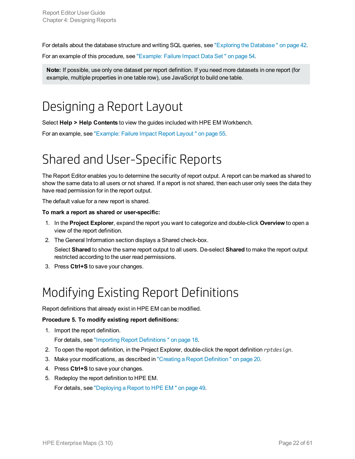For details about the database structure and writing SQL queries, see "Exploring the [Database "](#page-41-0) on page 42.

For an example of this procedure, see ["Example:](#page-53-1) Failure Impact Data Set " on page 54.

<span id="page-21-0"></span>**Note:** If possible, use only one dataset per report definition. If you need more datasets in one report (for example, multiple properties in one table row), use JavaScript to build one table.

## Designing a Report Layout

Select **Help > Help Contents** to view the guides included with HPE EM Workbench.

<span id="page-21-1"></span>For an example, see ["Example:](#page-54-0) Failure Impact Report Layout " on page 55.

## Shared and User-Specific Reports

The Report Editor enables you to determine the security of report output. A report can be marked as shared to show the same data to all users or not shared. If a report is not shared, then each user only sees the data they have read permission for in the report output.

The default value for a new report is shared.

#### **To mark a report as shared or user-specific:**

- 1. In the **Project Explorer**, expand the report you want to categorize and double-click **Overview** to open a view of the report definition.
- 2. The General Information section displays a Shared check-box.

Select **Shared** to show the same report output to all users. De-select **Shared** to make the report output restricted according to the user read permissions.

<span id="page-21-2"></span>3. Press **Ctrl+S** to save your changes.

## Modifying Existing Report Definitions

Report definitions that already exist in HPE EM can be modified.

#### **Procedure 5. To modify existing report definitions:**

1. Import the report definition.

For details, see "Importing Report [Definitions "](#page-17-1) on page 18.

- 2. To open the report definition, in the Project Explorer, double-click the report definition *rptdesign*.
- 3. Make your modifications, as described in "Creating a Report [Definition "](#page-19-1) on page 20.
- 4. Press **Ctrl+S** to save your changes.
- 5. Redeploy the report definition to HPE EM.

For details, see ["Deploying](#page-48-0) a Report to HPE EM " on page 49.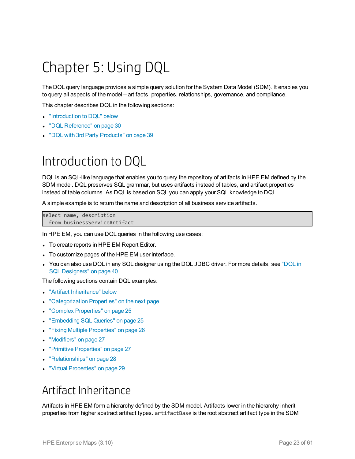# <span id="page-22-0"></span>Chapter 5: Using DQL

The DQL query language provides a simple query solution for the System Data Model (SDM). It enables you to query all aspects of the model – artifacts, properties, relationships, governance, and compliance.

This chapter describes DQL in the following sections:

- ["Introduction](#page-22-1) to DQL" below
- "DQL [Reference"](#page-29-0) on page 30
- <span id="page-22-1"></span>• "DQL with 3rd Party [Products"](#page-38-0) on page 39

## Introduction to DQL

DQL is an SQL-like language that enables you to query the repository of artifacts in HPE EM defined by the SDM model. DQL preserves SQL grammar, but uses artifacts instead of tables, and artifact properties instead of table columns. As DQL is based on SQL you can apply your SQL knowledge to DQL.

A simple example is to return the name and description of all business service artifacts.

```
select name, description
  from businessServiceArtifact
```
In HPE EM, you can use DQL queries in the following use cases:

- To create reports in HPE EM Report Editor.
- To customize pages of the HPE EM user interface.
- You can also use DQL in any SQL designer using the DQL JDBC driver. For more details, see ["DQL](#page-39-0) in SQL [Designers"](#page-39-0) on page 40

The following sections contain DQL examples:

- "Artifact [Inheritance"](#page-22-2) below
- ["Categorization](#page-23-0) Properties" on the next page
- "Complex [Properties"](#page-24-0) on page 25
- ["Embedding](#page-24-1) SQL Queries" on page 25
- **.** "Fixing Multiple [Properties"](#page-25-0) on page 26
- ["Modifiers"](#page-26-0) on page 27
- "Primitive [Properties"](#page-26-1) on page 27
- ["Relationships"](#page-27-0) on page 28
- <span id="page-22-2"></span>• "Virtual [Properties"](#page-28-0) on page 29

### Artifact Inheritance

Artifacts in HPE EM form a hierarchy defined by the SDM model. Artifacts lower in the hierarchy inherit properties from higher abstract artifact types. artifactBase is the root abstract artifact type in the SDM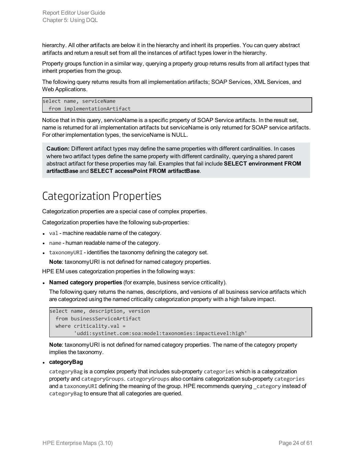hierarchy. All other artifacts are below it in the hierarchy and inherit its properties. You can query abstract artifacts and return a result set from all the instances of artifact types lower in the hierarchy.

Property groups function in a similar way, querying a property group returns results from all artifact types that inherit properties from the group.

The following query returns results from all implementation artifacts; SOAP Services, XML Services, and Web Applications.

```
select name, serviceName
 from implementationArtifact
```
Notice that in this query, serviceName is a specific property of SOAP Service artifacts. In the result set, name is returned for all implementation artifacts but serviceName is only returned for SOAP service artifacts. For other implementation types, the serviceName is NULL.

**Caution:** Different artifact types may define the same properties with different cardinalities. In cases where two artifact types define the same property with different cardinality, querying a shared parent abstract artifact for these properties may fail. Examples that fail include **SELECT environment FROM artifactBase** and **SELECT accessPoint FROM artifactBase**.

### <span id="page-23-0"></span>Categorization Properties

Categorization properties are a special case of complex properties.

Categorization properties have the following sub-properties:

- val machine readable name of the category.
- name human readable name of the category.
- $\bullet$  taxonomyURI identifies the taxonomy defining the category set.

**Note**: taxonomyURI is not defined for named category properties.

HPE EM uses categorization properties in the following ways:

**Named category properties** (for example, business service criticality).

The following query returns the names, descriptions, and versions of all business service artifacts which are categorized using the named criticality categorization property with a high failure impact.

```
select name, description, version
 from businessServiceArtifact
 where criticality.val =
        'uddi:systinet.com:soa:model:taxonomies:impactLevel:high'
```
**Note**: taxonomyURI is not defined for named category properties. The name of the category property implies the taxonomy.

<sup>l</sup> **categoryBag**

categoryBag is a complex property that includes sub-property categories which is a categorization property and categoryGroups. categoryGroups also contains categorization sub-property categories and a taxonomyURI defining the meaning of the group. HPE recommends querying category instead of categoryBag to ensure that all categories are queried.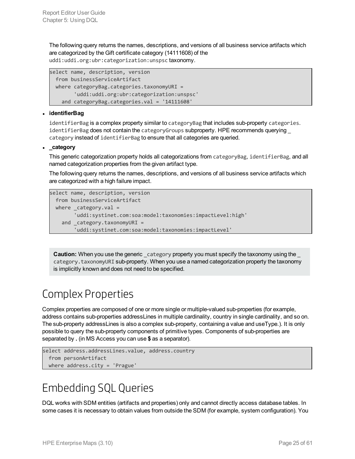The following query returns the names, descriptions, and versions of all business service artifacts which are categorized by the Gift certificate category (14111608) of the uddi:uddi.org:ubr:categorization:unspsc taxonomy.

```
select name, description, version
 from businessServiceArtifact
 where categoryBag.categories.taxonomyURI =
        'uddi:uddi.org:ubr:categorization:unspsc'
   and categoryBag.categories.val = '14111608'
```
#### <sup>l</sup> **identifierBag**

identifierBag is a complex property similar to categoryBag that includes sub-property categories. identifierBag does not contain the categoryGroups subproperty. HPE recommends querying category instead of identifierBag to ensure that all categories are queried.

#### **.** category

This generic categorization property holds all categorizations from categoryBag, identifierBag, and all named categorization properties from the given artifact type.

The following query returns the names, descriptions, and versions of all business service artifacts which are categorized with a high failure impact.

```
select name, description, version
 from businessServiceArtifact
 where \text{\_category.val} ='uddi:systinet.com:soa:model:taxonomies:impactLevel:high'
    and _category.taxonomyURI =
        'uddi:systinet.com:soa:model:taxonomies:impactLevel'
```
**Caution:** When you use the generic category property you must specify the taxonomy using the category.taxonomyURI sub-property. When you use a named categorization property the taxonomy is implicitly known and does not need to be specified.

### <span id="page-24-0"></span>Complex Properties

Complex properties are composed of one or more single or multiple-valued sub-properties (for example, address contains sub-properties addressLines in multiple cardinality, country in single cardinality, and so on. The sub-property addressLines is also a complex sub-property, containing a value and useType.). It is only possible to query the sub-property components of primitive types. Components of sub-properties are separated by **.** (in MS Access you can use **\$** as a separator).

```
select address.addressLines.value, address.country
  from personArtifact
  where address.city = 'Prague'
```
### <span id="page-24-1"></span>Embedding SQL Queries

DQL works with SDM entities (artifacts and properties) only and cannot directly access database tables. In some cases it is necessary to obtain values from outside the SDM (for example, system configuration). You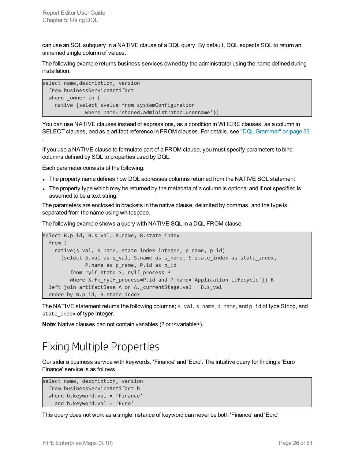can use an SQL subquery in a NATIVE clause of a DQL query. By default, DQL expects SQL to return an unnamed single column of values.

The following example returns business services owned by the administrator using the name defined during installation:

```
select name,description, version
 from businessServiceArtifact
 where _owner in (
   native {select svalue from systemConfiguration
              where name='shared.administrator.username'})
```
You can use NATIVE clauses instead of expressions, as a condition in WHERE clauses, as a column in SELECT clauses, and as a artifact reference in FROM clauses. For details, see "DQL [Grammar"](#page-32-1) on page 33

If you use a NATIVE clause to formulate part of a FROM clause, you must specify parameters to bind columns defined by SQL to properties used by DQL.

Each parameter consists of the following:

.

- The property name defines how DQL addresses columns returned from the NATIVE SQL statement.
- The property type which may be returned by the metadata of a column is optional and if not specified is assumed to be a text string.

The parameters are enclosed in brackets in the native clause, delimited by commas, and the type is separated from the name using whitespace.

The following example shows a query with NATIVE SQL in a DQL FROM clause.

```
select B.p_id, B.s_val, A.name, B.state_index
 from (
   native(s_val, s_name, state_index integer, p_name, p_id)
     {select S.val as s_val, S.name as s_name, S.state_index as state_index,
             P.name as p_name, P.id as p_id
        from rylf_state S, rylf_process P
        where S.fk_rylf_process=P.id and P.name='Application Lifecycle'}) B
 left join artifactBase A on A._currentStage.val = B.s_val
 order by B.p_id, B.state_index
```
The NATIVE statement returns the following columns; s\_val, s\_name, p\_name, and p\_id of type String, and state index of type Integer.

<span id="page-25-0"></span>**Note**: Native clauses can not contain variables (? or : < variable>).

### Fixing Multiple Properties

Consider a business service with keywords, 'Finance' and 'Euro'. The intuitive query for finding a 'Euro Finance' service is as follows:

```
select name, description, version
 from businessServiceArtifact b
 where b.keyword.val = 'Finance'
   and b.keyword.val = 'Euro'
```
This query does not work as a single instance of keyword can never be both 'Finance' and 'Euro'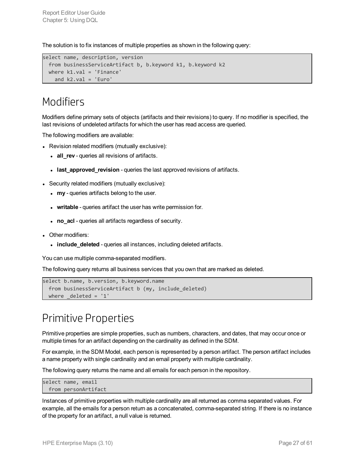The solution is to fix instances of multiple properties as shown in the following query:

```
select name, description, version
 from businessServiceArtifact b, b.keyword k1, b.keyword k2
 where k1.val = 'Finance'
   and k2.val = 'Euro'
```
### <span id="page-26-0"></span>Modifiers

Modifiers define primary sets of objects (artifacts and their revisions) to query. If no modifier is specified, the last revisions of undeleted artifacts for which the user has read access are queried.

The following modifiers are available:

- Revision related modifiers (mutually exclusive):
	- all\_rev queries all revisions of artifacts.
	- **.** last approved revision queries the last approved revisions of artifacts.
- Security related modifiers (mutually exclusive):
	- **way** queries artifacts belong to the user.
	- **writable** queries artifact the user has write permission for.
	- **no** acl queries all artifacts regardless of security.
- Other modifiers:
	- **· include\_deleted** queries all instances, including deleted artifacts.

You can use multiple comma-separated modifiers.

The following query returns all business services that you own that are marked as deleted.

```
select b.name, b.version, b.keyword.name
 from businessServiceArtifact b (my, include_deleted)
 where delta = '1'
```
### <span id="page-26-1"></span>Primitive Properties

Primitive properties are simple properties, such as numbers, characters, and dates, that may occur once or multiple times for an artifact depending on the cardinality as defined in the SDM.

For example, in the SDM Model, each person is represented by a person artifact. The person artifact includes a name property with single cardinality and an email property with multiple cardinality.

The following query returns the name and all emails for each person in the repository.

```
select name, email
 from personArtifact
```
Instances of primitive properties with multiple cardinality are all returned as comma separated values. For example, all the emails for a person return as a concatenated, comma-separated string. If there is no instance of the property for an artifact, a null value is returned.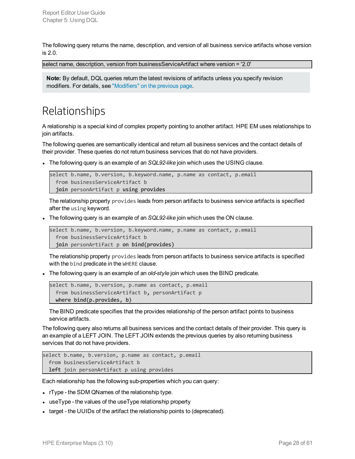The following query returns the name, description, and version of all business service artifacts whose version is 2.0.

select name, description, version from businessServiceArtifact where version = '2.0'

<span id="page-27-0"></span>**Note:** By default, DQL queries return the latest revisions of artifacts unless you specify revision modifiers. For details, see ["Modifiers"](#page-26-0) on the previous page.

### Relationships

A relationship is a special kind of complex property pointing to another artifact. HPE EM uses relationships to join artifacts.

The following queries are semantically identical and return all business services and the contact details of their provider. These queries do not return business services that do not have providers.

The following query is an example of an *SQL92-like* join which uses the USING clause.

```
select b.name, b.version, b.keyword.name, p.name as contact, p.email
  from businessServiceArtifact b
  join personArtifact p using provides
```
The relationship property provides leads from person artifacts to business service artifacts is specified after the using keyword.

The following query is an example of an *SQL92-like* join which uses the ON clause.

```
select b.name, b.version, b.keyword.name, p.name as contact, p.email
  from businessServiceArtifact b
  join personArtifact p on bind(provides)
```
The relationship property provides leads from person artifacts to business service artifacts is specified with the bind predicate in the WHERE clause.

The following query is an example of an *old-style* join which uses the BIND predicate.

```
select b.name, b.version, p.name as contact, p.email
  from businessServiceArtifact b, personArtifact p
  where bind(p.provides, b)
```
The BIND predicate specifies that the provides relationship of the person artifact points to business service artifacts.

The following query also returns all business services and the contact details of their provider. This query is an example of a LEFT JOIN. The LEFT JOIN extends the previous queries by also returning business services that do not have providers.

```
select b.name, b.version, p.name as contact, p.email
  from businessServiceArtifact b
  left join personArtifact p using provides
```
Each relationship has the following sub-properties which you can query:

- rType the SDM QNames of the relationship type.
- $\bullet$  useType the values of the useType relationship property
- I target the UUIDs of the artifact the relationship points to (deprecated).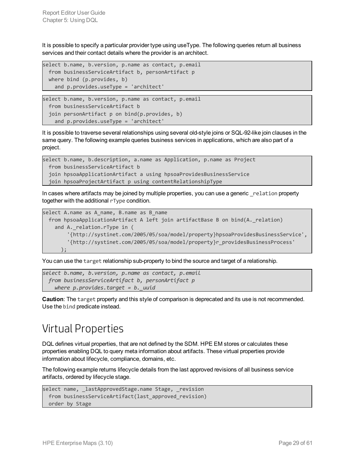It is possible to specify a particular provider type using useType. The following queries return all business services and their contact details where the provider is an architect.

```
select b.name, b.version, p.name as contact, p.email
 from businessServiceArtifact b, personArtifact p
 where bind (p.provides, b)
   and p.provides.useType = 'architect'
```

```
select b.name, b.version, p.name as contact, p.email
 from businessServiceArtifact b
 join personArtifact p on bind(p.provides, b)
   and p.provides.useType = 'architect'
```
It is possible to traverse several relationships using several old-style joins or SQL-92-like join clauses in the same query. The following example queries business services in applications, which are also part of a project.

```
select b.name, b.description, a.name as Application, p.name as Project
  from businessServiceArtifact b
  join hpsoaApplicationArtifact a using hpsoaProvidesBusinessService
  join hpsoaProjectArtifact p using contentRelationshipType
```
In cases where artifacts may be joined by multiple properties, you can use a generic relation property together with the additional rType condition.

```
select A.name as A name, B.name as B name
 from hpsoaApplicationArtifact A left join artifactBase B on bind(A._relation)
   and A. relation.rType in (
        '{http://systinet.com/2005/05/soa/model/property}hpsoaProvidesBusinessService',
        '{http://systinet.com/2005/05/soa/model/property}r_providesBusinessProcess'
     );
```
You can use the target relationship sub-property to bind the source and target of a relationship.

```
select b.name, b.version, p.name as contact, p.email
 from businessServiceArtifact b, personArtifact p
    where p.provides.target = b._uuid
```
<span id="page-28-0"></span>**Caution**: The target property and this style of comparison is deprecated and its use is not recommended. Use the bind predicate instead.

### Virtual Properties

DQL defines virtual properties, that are not defined by the SDM. HPE EM stores or calculates these properties enabling DQL to query meta information about artifacts. These virtual properties provide information about lifecycle, compliance, domains, etc.

The following example returns lifecycle details from the last approved revisions of all business service artifacts, ordered by lifecycle stage.

```
select name, _lastApprovedStage.name Stage, _revision
  from businessServiceArtifact(last_approved_revision)
  order by Stage
```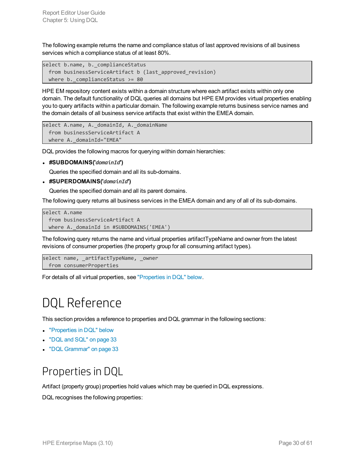The following example returns the name and compliance status of last approved revisions of all business services which a compliance status of at least 80%.

```
select b.name, b._complianceStatus
  from businessServiceArtifact b (last_approved_revision)
  where b._complianceStatus >= 80
```
HPE EM repository content exists within a domain structure where each artifact exists within only one domain. The default functionality of DQL queries all domains but HPE EM provides virtual properties enabling you to query artifacts within a particular domain. The following example returns business service names and the domain details of all business service artifacts that exist within the EMEA domain.

```
select A.name, A._domainId, A._domainName
 from businessServiceArtifact A
 where A. domainId="EMEA"
```
DQL provides the following macros for querying within domain hierarchies:

<sup>l</sup> **#SUBDOMAINS('***domainId***')**

Queries the specified domain and all its sub-domains.

<sup>l</sup> **#SUPERDOMAINS('***domainId***')**

Queries the specified domain and all its parent domains.

The following query returns all business services in the EMEA domain and any of all of its sub-domains.

```
select A.name
  from businessServiceArtifact A
  where A. domainId in #SUBDOMAINS('EMEA')
```
The following query returns the name and virtual properties artifactTypeName and owner from the latest revisions of consumer properties (the property group for all consuming artifact types).

```
select name, _artifactTypeName, _owner
  from consumerProperties
```
<span id="page-29-0"></span>For details of all virtual properties, see ["Properties](#page-29-1) in DQL" below.

## DQL Reference

This section provides a reference to properties and DQL grammar in the following sections:

- ["Properties](#page-29-1) in DQL" below
- ["DQL](#page-32-0) and SQL" on page 33
- <span id="page-29-1"></span><sup>l</sup> "DQL [Grammar"](#page-32-1) on page 33

### Properties in DQL

Artifact (property group) properties hold values which may be queried in DQL expressions.

DQL recognises the following properties: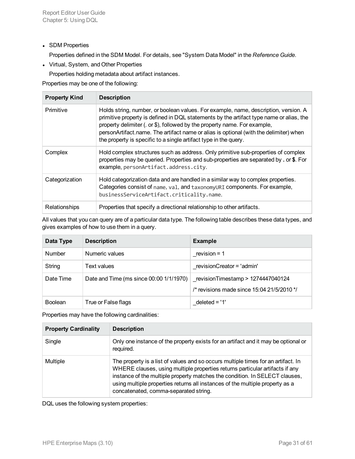• SDM Properties

Properties defined in the SDM Model. For details, see "System Data Model" in the *Reference Guide*.

• Virtual, System, and Other Properties

Properties holding metadata about artifact instances.

Properties may be one of the following:

| <b>Property Kind</b> | <b>Description</b>                                                                                                                                                                                                                                                                                                                                                                                                       |
|----------------------|--------------------------------------------------------------------------------------------------------------------------------------------------------------------------------------------------------------------------------------------------------------------------------------------------------------------------------------------------------------------------------------------------------------------------|
| Primitive            | Holds string, number, or boolean values. For example, name, description, version. A<br>primitive property is defined in DQL statements by the artifact type name or alias, the<br>property delimiter (. or \$), followed by the property name. For example,<br>personArtifact.name. The artifact name or alias is optional (with the delimiter) when<br>the property is specific to a single artifact type in the query. |
| Complex              | Hold complex structures such as address. Only primitive sub-properties of complex<br>properties may be queried. Properties and sub-properties are separated by . or \$. For<br>example, personArtifact.address.city.                                                                                                                                                                                                     |
| Categorization       | Hold categorization data and are handled in a similar way to complex properties.<br>Categories consist of name, val, and taxonomyURI components. For example,<br>businessServiceArtifact.criticality.name.                                                                                                                                                                                                               |
| Relationships        | Properties that specify a directional relationship to other artifacts.                                                                                                                                                                                                                                                                                                                                                   |

All values that you can query are of a particular data type. The following table describes these data types, and gives examples of how to use them in a query.

| Data Type      | <b>Description</b>                      | <b>Example</b>                                                                      |
|----------------|-----------------------------------------|-------------------------------------------------------------------------------------|
| <b>Number</b>  | Numeric values                          | revision = $1$                                                                      |
| String         | Text values                             | revisionCreator = 'admin'                                                           |
| Date Time      | Date and Time (ms since 00:00 1/1/1970) | revisionTimestamp > $1274447040124$<br>/* revisions made since $15.04$ 21/5/2010 */ |
| <b>Boolean</b> | True or False flags                     | $deleted = '1'$                                                                     |

Properties may have the following cardinalities:

| <b>Property Cardinality</b> | <b>Description</b>                                                                                                                                                                                                                                                                                                                                                         |
|-----------------------------|----------------------------------------------------------------------------------------------------------------------------------------------------------------------------------------------------------------------------------------------------------------------------------------------------------------------------------------------------------------------------|
| Single                      | Only one instance of the property exists for an artifact and it may be optional or<br>required.                                                                                                                                                                                                                                                                            |
| Multiple                    | The property is a list of values and so occurs multiple times for an artifact. In<br>WHERE clauses, using multiple properties returns particular artifacts if any<br>instance of the multiple property matches the condition. In SELECT clauses,<br>using multiple properties returns all instances of the multiple property as a<br>concatenated, comma-separated string. |

DQL uses the following system properties: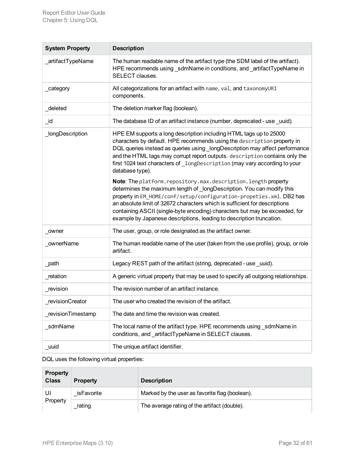| <b>System Property</b> | <b>Description</b>                                                                                                                                                                                                                                                                                                                                                                                                                                                                                                                                                                                                                                                                                                                                                                                                                                                  |
|------------------------|---------------------------------------------------------------------------------------------------------------------------------------------------------------------------------------------------------------------------------------------------------------------------------------------------------------------------------------------------------------------------------------------------------------------------------------------------------------------------------------------------------------------------------------------------------------------------------------------------------------------------------------------------------------------------------------------------------------------------------------------------------------------------------------------------------------------------------------------------------------------|
| _artifactTypeName      | The human readable name of the artifact type (the SDM label of the artifact).<br>HPE recommends using _sdmName in conditions, and _artifactTypeName in<br>SELECT clauses.                                                                                                                                                                                                                                                                                                                                                                                                                                                                                                                                                                                                                                                                                           |
| _category              | All categorizations for an artifact with name, val, and taxonomyURI<br>components.                                                                                                                                                                                                                                                                                                                                                                                                                                                                                                                                                                                                                                                                                                                                                                                  |
| _deleted               | The deletion marker flag (boolean).                                                                                                                                                                                                                                                                                                                                                                                                                                                                                                                                                                                                                                                                                                                                                                                                                                 |
| _id                    | The database ID of an artifact instance (number, deprecated - use _uuid).                                                                                                                                                                                                                                                                                                                                                                                                                                                                                                                                                                                                                                                                                                                                                                                           |
| _longDescription       | HPE EM supports a long description including HTML tags up to 25000<br>characters by default. HPE recommends using the description property in<br>DQL queries instead as queries using _longDescription may affect performance<br>and the HTML tags may corrupt report outputs. description contains only the<br>first 1024 text characters of longDescription (may vary according to your<br>database type).<br>Note: The platform.repository.max.description.length property<br>determines the maximum length of _longDescription. You can modify this<br>property in EM_HOME/conf/setup/configuration-propeties.xml. DB2 has<br>an absolute limit of 32672 characters which is sufficient for descriptions<br>containing ASCII (single-byte encoding) characters but may be exceeded, for<br>example by Japanese descriptions, leading to description truncation. |
| owner                  | The user, group, or role designated as the artifact owner.                                                                                                                                                                                                                                                                                                                                                                                                                                                                                                                                                                                                                                                                                                                                                                                                          |
| _ownerName             | The human readable name of the user (taken from the use profile), group, or role<br>artifact.                                                                                                                                                                                                                                                                                                                                                                                                                                                                                                                                                                                                                                                                                                                                                                       |
| _path                  | Legacy REST path of the artifact (string, deprecated - use _uuid).                                                                                                                                                                                                                                                                                                                                                                                                                                                                                                                                                                                                                                                                                                                                                                                                  |
| _relation              | A generic virtual property that may be used to specify all outgoing relationships.                                                                                                                                                                                                                                                                                                                                                                                                                                                                                                                                                                                                                                                                                                                                                                                  |
| _revision              | The revision number of an artifact instance.                                                                                                                                                                                                                                                                                                                                                                                                                                                                                                                                                                                                                                                                                                                                                                                                                        |
| revisionCreator        | The user who created the revision of the artifact.                                                                                                                                                                                                                                                                                                                                                                                                                                                                                                                                                                                                                                                                                                                                                                                                                  |
| _revisionTimestamp     | The date and time the revision was created.                                                                                                                                                                                                                                                                                                                                                                                                                                                                                                                                                                                                                                                                                                                                                                                                                         |
| _sdmName               | The local name of the artifact type. HPE recommends using sdmName in<br>conditions, and _artifactTypeName in SELECT clauses.                                                                                                                                                                                                                                                                                                                                                                                                                                                                                                                                                                                                                                                                                                                                        |
| _uuid                  | The unique artifact identifier.                                                                                                                                                                                                                                                                                                                                                                                                                                                                                                                                                                                                                                                                                                                                                                                                                                     |

DQL uses the following virtual properties:

| <b>Property</b><br><b>Class</b> | <b>Property</b> | <b>Description</b>                             |
|---------------------------------|-----------------|------------------------------------------------|
| UI                              | isFavorite      | Marked by the user as favorite flag (boolean). |
| Property                        | rating          | The average rating of the artifact (double).   |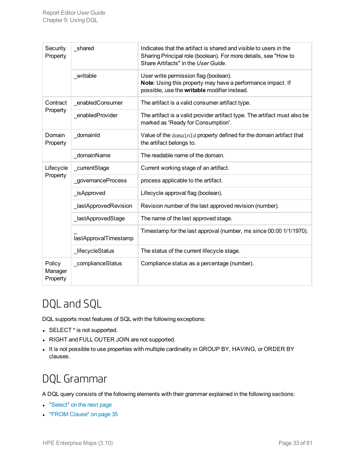| Security<br>Property          | shared                | Indicates that the artifact is shared and visible to users in the<br>Sharing Principal role (boolean). For more details, see "How to<br>Share Artifacts" in the User Guide. |  |
|-------------------------------|-----------------------|-----------------------------------------------------------------------------------------------------------------------------------------------------------------------------|--|
|                               | writable              | User write permission flag (boolean).<br>Note: Using this property may have a performance impact. If<br>possible, use the writable modifier instead.                        |  |
| Contract                      | enabledConsumer       | The artifact is a valid consumer artifact type.                                                                                                                             |  |
| Property                      | _enabledProvider      | The artifact is a valid provider artifact type. The artifact must also be<br>marked as 'Ready for Consumption'.                                                             |  |
| Domain<br>Property            | _domainId             | Value of the domainId property defined for the domain artifact that<br>the artifact belongs to.                                                                             |  |
|                               | domainName            | The readable name of the domain.                                                                                                                                            |  |
| Lifecycle<br>Property         | _currentStage         | Current working stage of an artifact.                                                                                                                                       |  |
|                               | governanceProcess     | process applicable to the artifact.                                                                                                                                         |  |
|                               | _isApproved           | Lifecycle approval flag (boolean).                                                                                                                                          |  |
|                               | _lastApprovedRevision | Revision number of the last approved revision (number).                                                                                                                     |  |
|                               | _lastApprovedStage    | The name of the last approved stage.                                                                                                                                        |  |
|                               | lastApprovalTimestamp | Timestamp for the last approval (number, ms since 00:00 1/1/1970).                                                                                                          |  |
|                               | _lifecycleStatus      | The status of the current lifecycle stage.                                                                                                                                  |  |
| Policy<br>Manager<br>Property | _complianceStatus     | Compliance status as a percentage (number).                                                                                                                                 |  |

## <span id="page-32-0"></span>DQL and SQL

DQL supports most features of SQL with the following exceptions:

- $\bullet$  SELECT  $^*$  is not supported.
- RIGHT and FULL OUTER JOIN are not supported.
- <span id="page-32-1"></span>. It is not possible to use properties with multiple cardinality in GROUP BY, HAVING, or ORDER BY clauses.

## DQL Grammar

A DQL query consists of the following elements with their grammar explained in the following sections:

- ["Select"](#page-33-0) on the next page
- "FROM [Clause"](#page-34-0) on page 35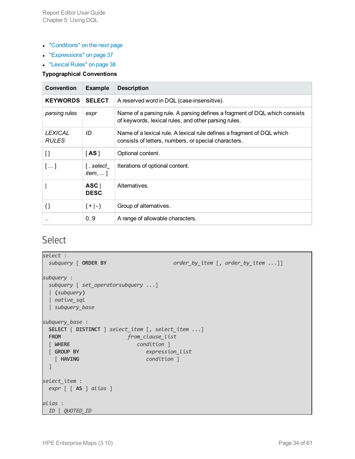- ["Conditions"](#page-34-1) on the next page
- **.** ["Expressions"](#page-36-0) on page 37
- ["Lexical](#page-37-0) Rules" on page 38

#### **Typographical Conventions**

| <b>Convention</b>              | <b>Example</b>                                                 | <b>Description</b>                                                                                                                 |
|--------------------------------|----------------------------------------------------------------|------------------------------------------------------------------------------------------------------------------------------------|
| <b>KEYWORDS</b>                | <b>SELECT</b>                                                  | A reserved word in DQL (case-insensitive).                                                                                         |
| parsing rules                  | expr                                                           | Name of a parsing rule. A parsing defines a fragment of DQL which consists<br>of keywords, lexical rules, and other parsing rules. |
| <b>LEXICAL</b><br><b>RULES</b> | ID                                                             | Name of a lexical rule. A lexical rule defines a fragment of DQL which<br>consists of letters, numbers, or special characters.     |
| $\mathbf{I}$                   | [AS]                                                           | Optional content.                                                                                                                  |
| []                             | [ , select $\overline{\phantom{a}}$<br><i>item</i> , $\dots$ ] | Iterations of optional content.                                                                                                    |
|                                | ASC<br><b>DESC</b>                                             | Alternatives.                                                                                                                      |
| $\{\}$                         | ${+ -}$                                                        | Group of alternatives.                                                                                                             |
|                                | 0.9                                                            | A range of allowable characters.                                                                                                   |

### <span id="page-33-0"></span>Select

```
select :
 subquery [ ORDER BY order_by_item [, order_by_item ...]]
subquery :
 subquery [ set_operatorsubquery ...]
 | (subquery)
 | native_sql
 | subquery_base
subquery_base :
 SELECT [ DISTINCT ] select_item [, select_item ...]
 FROM from_clause_list
 [ WHERE condition ]
 [ GROUP BY expression_list
   [ HAVING condition ]
 ]
select_item :
 expr [ [ AS ] alias ]
alias :
 ID | QUOTED_ID
```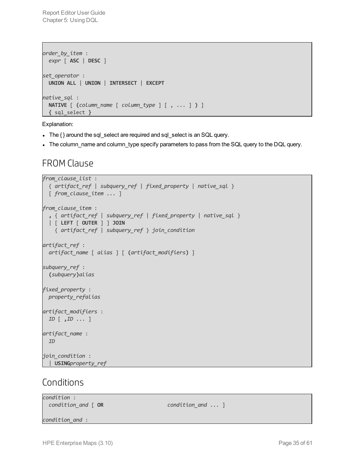Report Editor User Guide Chapter 5: Using DQL

```
order_by_item :
  expr [ ASC | DESC ]
set_operator :
  UNION ALL | UNION | INTERSECT | EXCEPT
native_sql :
 NATIVE [ (column_name [ column_type ] [ , ... ] ) ]
 { sql_select }
```
Explanation:

- The { } around the sql\_select are required and sql\_select is an SQL query.
- <span id="page-34-0"></span>• The column\_name and column\_type specify parameters to pass from the SQL query to the DQL query.

### FROM Clause

```
from_clause_list :
  { artifact_ref | subquery_ref | fixed_property | native_sql }
  [ from_clause_item ... ]
from_clause_item :
  , { artifact_ref | subquery_ref | fixed_property | native_sql }
  | [ LEFT [ OUTER ] ] JOIN
    { artifact_ref | subquery_ref } join_condition
artifact_ref :
 artifact_name [ alias ] [ (artifact_modifiers) ]
subquery_ref :
  (subquery)alias
fixed_property :
  property_refalias
artifact_modifiers :
 ID [ ,ID ... ]
artifact_name :
 ID
join_condition :
 | USINGproperty_ref
```
#### <span id="page-34-1"></span>Conditions

| condition :<br>condition_and [ OR | $condition$ and $\ldots$ ] |
|-----------------------------------|----------------------------|
| condition and :                   |                            |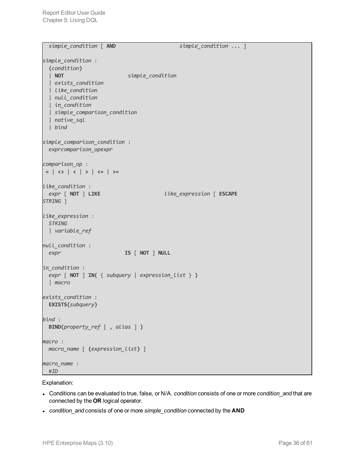Report Editor User Guide Chapter 5: Using DQL

```
simple_condition [ AND simple_condition ... ]
simple_condition :
 (condition)
  | NOT simple_condition
 | exists_condition
 | like_condition
 | null_condition
 | in_condition
 | simple_comparison_condition
 | native_sql
  | bind
simple_comparison_condition :
 exprcomparison_opexpr
comparison_op :
= | <> | < | > | <= | >=
like_condition :
 expr [ NOT ] LIKE like_expression [ ESCAPE
STRING ]
like_expression :
 STRING
 | variable_ref
null_condition :
 expr IS [ NOT ] NULL
in_condition :
 expr [ NOT ] IN( { subquery | expression_list } )
 | macro
exists_condition :
 EXISTS(subquery)
bind :
 BIND(property_ref [ , alias ] )
macro :
 macro_name [ (expression_list) ]
macro_name :
 #ID
```
Explanation:

- <sup>l</sup> Conditions can be evaluated to true, false, or N/A. *condition* consists of one or more *condition\_and* that are connected by the **OR** logical operator.
- <sup>l</sup> *condition\_and* consists of one or more *simple\_condition* connected by the **AND**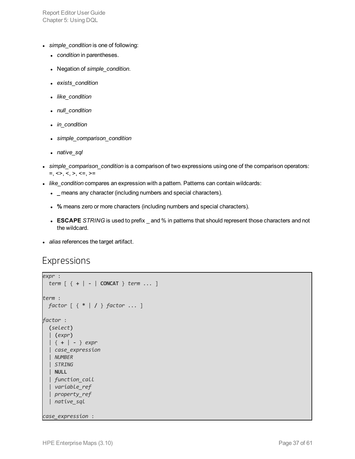Report Editor User Guide Chapter 5: Using DQL

- **.** simple\_condition is one of following:
	- *condition* in parentheses.
	- <sup>l</sup> Negation of *simple\_condition*.
	- <sup>l</sup> *exists\_condition*
	- like\_condition
	- null\_condition
	- *in\_condition*
	- <sup>l</sup> *simple\_comparison\_condition*
	- *native\_sql*
- <sup>l</sup> *simple\_comparison\_condition* is a comparison of two expressions using one of the comparison operators:  $=$ ,  $\langle \rangle$ ,  $\langle \rangle$ ,  $\langle \rangle$ ,  $\langle \rangle$  =,  $>$ =
- <sup>l</sup> *like\_condition* compares an expression with a pattern. Patterns can contain wildcards:
	- **.** \_ means any character (including numbers and special characters).
	- <sup>l</sup> **%** means zero or more characters (including numbers and special characters).
	- **ESCAPE** *STRING* is used to prefix \_ and % in patterns that should represent those characters and not the wildcard.
- <span id="page-36-0"></span> $\bullet$  *alias* references the target artifact.

#### Expressions

```
expr :
 term [ { + | - | CONCAT } term ... ]
term :
 factor [ { * | / } factor ... ]
factor :
 (select)
  | (expr)
  | { + | - } expr
  | case_expression
  | NUMBER
  | STRING
 | NULL
  | function_call
  | variable_ref
 | property_ref
 | native_sql
case_expression :
```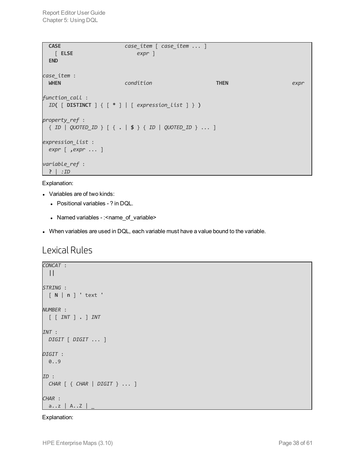| <b>CASE</b>                                    | $case$ $item$ $[case$ $item$ $$ $]$                                                                                                                                                                                          |             |      |
|------------------------------------------------|------------------------------------------------------------------------------------------------------------------------------------------------------------------------------------------------------------------------------|-------------|------|
| $\lceil$ ELSE                                  | $expr$ ]                                                                                                                                                                                                                     |             |      |
| <b>END</b>                                     |                                                                                                                                                                                                                              |             |      |
| case_item :<br><b>WHEN</b>                     | condition                                                                                                                                                                                                                    | <b>THEN</b> | expr |
| function_call :                                | ID( $[$ DISTINCT $]$ $[$ $[$ $*$ $]$ $[$ $]$ $[$ $]$ $[$ $]$ $[$ $]$ $[$ $]$ $[$ $]$ $[$ $]$ $[$ $]$ $[$ $]$ $[$ $]$ $[$ $]$ $[$ $]$ $[$ $]$ $[$ $]$ $[$ $]$ $[$ $]$ $[$ $]$ $[$ $]$ $[$ $]$ $[$ $]$ $[$ $]$ $[$ $]$ $[$ $]$ |             |      |
| property_ref :                                 | $\{ ID \mid QUOTED\_ID \}$ $[ \{ . \mid $ \} \{ ID \mid QUOTED\_ID \}  ]$                                                                                                                                                    |             |      |
| expression_list :<br>$expr$ [ ,expr $\ldots$ ] |                                                                                                                                                                                                                              |             |      |
| variable_ref :<br>$\mathsf{?}$   :ID           |                                                                                                                                                                                                                              |             |      |

#### Explanation:

- Variables are of two kinds:
	- Positional variables ? in DQL.
	- Named variables :< name\_of\_variable>
- <span id="page-37-0"></span>• When variables are used in DQL, each variable must have a value bound to the variable.

### Lexical Rules

```
CONCAT :
 ||
STRING :
 [ N | n ] ' text '
NUMBER :
  [ [ INT ] . ] INT
INT :
 DIGIT [ DIGIT ... ]
DIGIT :
 0..9
ID :
 CHAR [ { CHAR | DIGIT } ... ]
CHAR :
 a..z | A..Z | _
```
#### Explanation: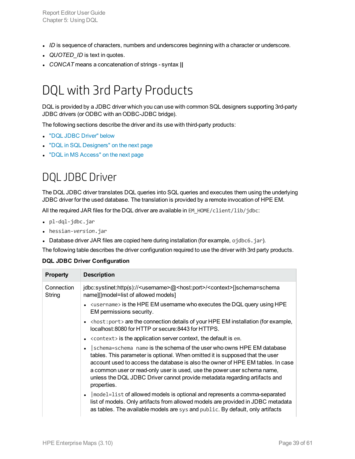- *ID* is sequence of characters, numbers and underscores beginning with a character or underscore.
- *QUOTED ID* is text in quotes.
- <span id="page-38-0"></span><sup>l</sup> *CONCAT* means a concatenation of strings - syntax **||**

## DQL with 3rd Party Products

DQL is provided by a JDBC driver which you can use with common SQL designers supporting 3rd-party JDBC drivers (or ODBC with an ODBC-JDBC bridge).

The following sections describe the driver and its use with third-party products:

- "DQL JDBC [Driver"](#page-38-1) below
- "DQL in SQL [Designers"](#page-39-0) on the next page
- <span id="page-38-1"></span>• "DQL in MS [Access"](#page-39-1) on the next page

### DQL JDBC Driver

The DQL JDBC driver translates DQL queries into SQL queries and executes them using the underlying JDBC driver for the used database. The translation is provided by a remote invocation of HPE EM.

All the required JAR files for the DQL driver are available in EM\_HOME/client/lib/jdbc:

- pl-dql-jdbc.jar
- <sup>l</sup> hessian-*version*.jar
- Database driver JAR files are copied here during installation (for example, ojdbc6.jar).

The following table describes the driver configuration required to use the driver with 3rd party products.

#### **DQL JDBC Driver Configuration**

| <b>Property</b>      | <b>Description</b>                                                                                                                                                                                                                                                                                                                                                                                                              |
|----------------------|---------------------------------------------------------------------------------------------------------------------------------------------------------------------------------------------------------------------------------------------------------------------------------------------------------------------------------------------------------------------------------------------------------------------------------|
| Connection<br>String | jdbc:systinet:http(s):// <username>@<host:port>/<context>[ schema=schema<br/>name][ model=list of allowed models]</context></host:port></username>                                                                                                                                                                                                                                                                              |
|                      | $\kappa$ as $\kappa$ is the HPE EM username who executes the DQL query using HPE<br>EM permissions security.                                                                                                                                                                                                                                                                                                                    |
|                      | $\langle$ host: port> are the connection details of your HPE EM installation (for example,<br>$\bullet$<br>localhost: 8080 for HTTP or secure: 8443 for HTTPS.                                                                                                                                                                                                                                                                  |
|                      | <context> is the application server context, the default is em.<br/><math>\bullet</math></context>                                                                                                                                                                                                                                                                                                                              |
|                      | schema=schema name is the schema of the user who owns HPE EM database<br>$\bullet$<br>tables. This parameter is optional. When omitted it is supposed that the user<br>account used to access the database is also the owner of HPE EM tables. In case<br>a common user or read-only user is used, use the power user schema name,<br>unless the DQL JDBC Driver cannot provide metadata regarding artifacts and<br>properties. |
|                      | model=list of allowed models is optional and represents a comma-separated<br>$\bullet$<br>list of models. Only artifacts from allowed models are provided in JDBC metadata<br>as tables. The available models are sys and public. By default, only artifacts                                                                                                                                                                    |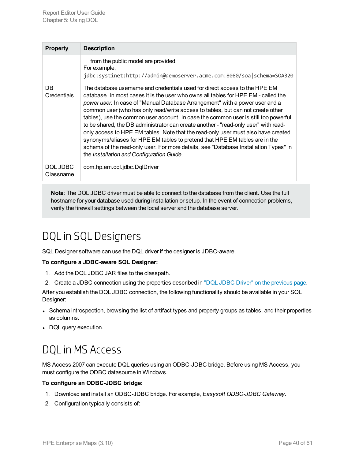| <b>Property</b>       | <b>Description</b>                                                                                                                                                                                                                                                                                                                                                                                                                                                                                                                                                                                                                                                                                                                                                                                                         |
|-----------------------|----------------------------------------------------------------------------------------------------------------------------------------------------------------------------------------------------------------------------------------------------------------------------------------------------------------------------------------------------------------------------------------------------------------------------------------------------------------------------------------------------------------------------------------------------------------------------------------------------------------------------------------------------------------------------------------------------------------------------------------------------------------------------------------------------------------------------|
|                       | from the public model are provided.<br>For example,<br>jdbc:systinet:http://admin@demoserver.acme.com:8080/soa schema=S0A320                                                                                                                                                                                                                                                                                                                                                                                                                                                                                                                                                                                                                                                                                               |
| DB<br>Credentials     | The database username and credentials used for direct access to the HPE EM<br>database. In most cases it is the user who owns all tables for HPE EM - called the<br>power user. In case of "Manual Database Arrangement" with a power user and a<br>common user (who has only read/write access to tables, but can not create other<br>tables), use the common user account. In case the common user is still too powerful<br>to be shared, the DB administrator can create another - "read-only user" with read-<br>only access to HPE EM tables. Note that the read-only user must also have created<br>synonyms/aliases for HPE EM tables to pretend that HPE EM tables are in the<br>schema of the read-only user. For more details, see "Database Installation Types" in<br>the Installation and Configuration Guide. |
| DOL JDBC<br>Classname | com.hp.em.dql.jdbc.DqlDriver                                                                                                                                                                                                                                                                                                                                                                                                                                                                                                                                                                                                                                                                                                                                                                                               |

**Note**: The DQL JDBC driver must be able to connect to the database from the client. Use the full hostname for your database used during installation or setup. In the event of connection problems, verify the firewall settings between the local server and the database server.

## <span id="page-39-0"></span>DQL in SQL Designers

SQL Designer software can use the DQL driver if the designer is JDBC-aware.

#### **To configure a JDBC-aware SQL Designer:**

- 1. Add the DQL JDBC JAR files to the classpath.
- 2. Create a JDBC connection using the properties described in "DQL JDBC Driver" on the [previous](#page-38-1) page.

After you establish the DQL JDBC connection, the following functionality should be available in your SQL Designer:

- Schema introspection, browsing the list of artifact types and property groups as tables, and their properties as columns.
- <span id="page-39-1"></span>• DQL query execution.

## DQL in MS Access

MS Access 2007 can execute DQL queries using an ODBC-JDBC bridge. Before using MS Access, you must configure the ODBC datasource in Windows.

#### **To configure an ODBC-JDBC bridge:**

- 1. Download and install an ODBC-JDBC bridge. For example, *Easysoft ODBC-JDBC Gateway*.
- 2. Configuration typically consists of: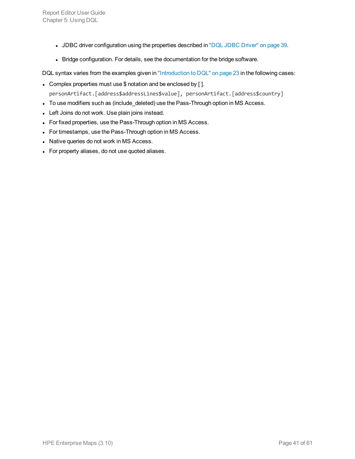- JDBC driver configuration using the properties described in "DQL JDBC [Driver"](#page-38-1) on page 39.
- Bridge configuration. For details, see the documentation for the bridge software.

DQL syntax varies from the examples given in ["Introduction](#page-22-1) to DQL" on page 23 in the following cases:

- Complex properties must use \$ notation and be enclosed by []. personArtifact.[address\$addressLines\$value], personArtifact.[address\$country]
- To use modifiers such as (include\_deleted) use the Pass-Through option in MS Access.
- Left Joins do not work. Use plain joins instead.
- For fixed properties, use the Pass-Through option in MS Access.
- For timestamps, use the Pass-Through option in MS Access.
- Native queries do not work in MS Access.
- For property aliases, do not use quoted aliases.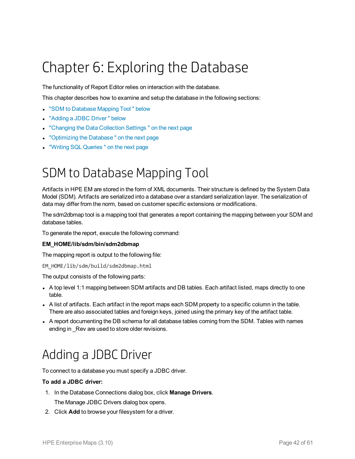# <span id="page-41-0"></span>Chapter 6: Exploring the Database

The functionality of Report Editor relies on interaction with the database.

This chapter describes how to examine and setup the database in the following sections:

- <sup>l</sup> "SDM to [Database](#page-41-1) Mapping Tool " below
- ["Adding](#page-41-2) a JDBC Driver" below
- ["Changing](#page-42-0) the Data Collection Settings" on the next page
- ["Optimizing](#page-42-1) the Database" on the next page
- <span id="page-41-1"></span>• "Writing SQL Queries" on the next page

## SDM to Database Mapping Tool

Artifacts in HPE EM are stored in the form of XML documents. Their structure is defined by the System Data Model (SDM). Artifacts are serialized into a database over a standard serialization layer. The serialization of data may differ from the norm, based on customer specific extensions or modifications.

The sdm2dbmap tool is a mapping tool that generates a report containing the mapping between your SDM and database tables.

To generate the report, execute the following command:

#### **EM\_HOME/lib/sdm/bin/sdm2dbmap**

The mapping report is output to the following file:

```
EM_HOME/lib/sdm/build/sdm2dbmap.html
```
The output consists of the following parts:

- A top level 1:1 mapping between SDM artifacts and DB tables. Each artifact listed, maps directly to one table.
- A list of artifacts. Each artifact in the report maps each SDM property to a specific column in the table. There are also associated tables and foreign keys, joined using the primary key of the artifact table.
- <span id="page-41-2"></span>• A report documenting the DB schema for all database tables coming from the SDM. Tables with names ending in Rev are used to store older revisions.

## Adding a JDBC Driver

To connect to a database you must specify a JDBC driver.

#### **To add a JDBC driver:**

- 1. In the Database Connections dialog box, click **Manage Drivers**. The Manage JDBC Drivers dialog box opens.
- 2. Click **Add** to browse your filesystem for a driver.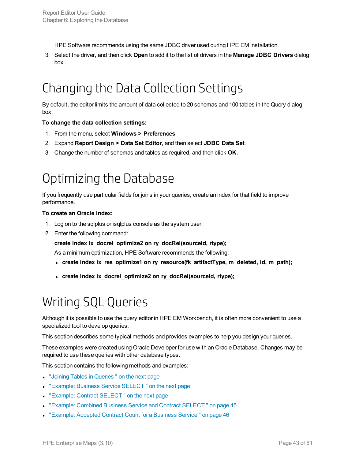HPE Software recommends using the same JDBC driver used during HPE EM installation.

<span id="page-42-0"></span>3. Select the driver, and then click **Open** to add it to the list of drivers in the **Manage JDBC Drivers** dialog box.

## Changing the Data Collection Settings

By default, the editor limits the amount of data collected to 20 schemas and 100 tables in the Query dialog box.

#### **To change the data collection settings:**

- 1. From the menu, select **Windows > Preferences**.
- 2. Expand **Report Design > Data Set Editor**, and then select **JDBC Data Set**.
- <span id="page-42-1"></span>3. Change the number of schemas and tables as required, and then click **OK**.

## Optimizing the Database

If you frequently use particular fields for joins in your queries, create an index for that field to improve performance.

#### **To create an Oracle index:**

- 1. Log on to the sqlplus or isqlplus console as the system user.
- 2. Enter the following command:

**create index ix\_docrel\_optimize2 on ry\_docRel(sourceId, rtype);**

As a minimum optimization, HPE Software recommends the following:

- <sup>l</sup> **create index ix\_res\_optimize1 on ry\_resource(fk\_artifactType, m\_deleted, id, m\_path);**
- <span id="page-42-2"></span><sup>l</sup> **create index ix\_docrel\_optimize2 on ry\_docRel(sourceId, rtype);**

## Writing SQL Queries

Although it is possible to use the query editor in HPE EM Workbench, it is often more convenient to use a specialized tool to develop queries.

This section describes some typical methods and provides examples to help you design your queries.

These examples were created using Oracle Developer for use with an Oracle Database. Changes may be required to use these queries with other database types.

This section contains the following methods and examples:

- "Joining Tables in [Queries "](#page-43-0) on the next page
- "Example: Business Service SELECT" on the next page
- "Example: Contract SELECT" on the next page
- <sup>l</sup> "Example: Combined Business Service and Contract [SELECT "](#page-44-0) on page 45
- ["Example:](#page-45-0) Accepted Contract Count for a Business Service " on page 46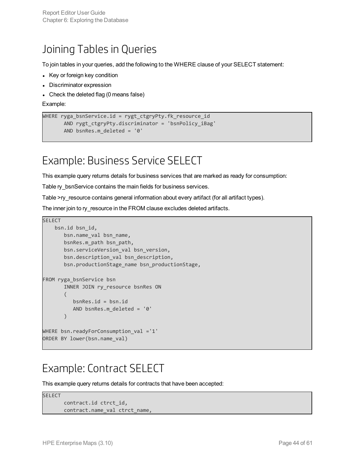### <span id="page-43-0"></span>Joining Tables in Queries

To join tables in your queries, add the following to the WHERE clause of your SELECT statement:

- Key or foreign key condition
- Discriminator expression
- Check the deleted flag (0 means false)

Example:

```
WHERE ryga_bsnService.id = rygt_ctgryPty.fk_resource_id
      AND rygt_ctgryPty.discriminator = 'bsnPolicy_iBag'
      AND bsnRes.m_deleted = '0'
```
### <span id="page-43-1"></span>Example: Business Service SELECT

This example query returns details for business services that are marked as ready for consumption:

Table ry\_bsnService contains the main fields for business services.

Table >ry\_resource contains general information about every artifact (for all artifact types).

The inner join to ry\_resource in the FROM clause excludes deleted artifacts.

```
SELECT
   bsn.id bsn_id,
       bsn.name_val bsn_name,
       bsnRes.m_path bsn_path,
       bsn.serviceVersion_val bsn_version,
       bsn.description_val bsn_description,
       bsn.productionStage_name bsn_productionStage,
FROM ryga_bsnService bsn
       INNER JOIN ry_resource bsnRes ON
       (
          bsnRes.id = bsn.id
          AND bsnRes.m_deleted = '0'
       )
WHERE bsn.readyForConsumption_val ='1'
ORDER BY lower(bsn.name_val)
```
### <span id="page-43-2"></span>Example: Contract SELECT

This example query returns details for contracts that have been accepted:

```
SELECT
       contract.id ctrct_id,
       contract.name_val ctrct_name,
```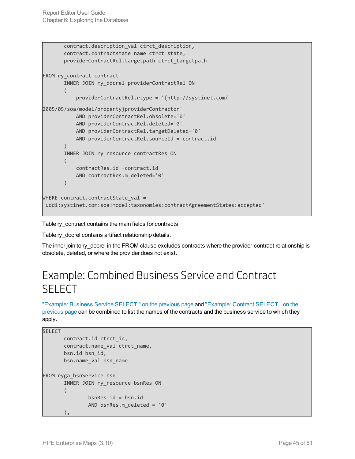```
contract.description val ctrct description,
       contract.contractstate_name ctrct_state,
       providerContractRel.targetpath ctrct_targetpath
FROM ry_contract contract
       INNER JOIN ry_docrel providerContractRel ON
       (
           providerContractRel.rtype = '{http://systinet.com/
2005/05/soa/model/property}providerContractor'
           AND providerContractRel.obsolete='0'
           AND providerContractRel.deleted='0'
           AND providerContractRel.targetDeleted='0'
           AND providerContractRel.sourceId = contract.id
       \lambdaINNER JOIN ry_resource contractRes ON
       (
           contractRes.id =contract.id
           AND contractRes.m_deleted='0'
       )
WHERE contract.contractState_val =
'uddi:systinet.com:soa:model:taxonomies:contractAgreementStates:accepted'
```
Table ry\_contract contains the main fields for contracts.

Table ry\_docrel contains artifact relationship details.

<span id="page-44-0"></span>The inner join to ry\_docrel in the FROM clause excludes contracts where the provider-contract relationship is obsolete, deleted, or where the provider does not exist.

### Example: Combined Business Service and Contract **SELECT**

"Example: Business Service [SELECT "](#page-43-1) on the previous page and "Example: Contract [SELECT "](#page-43-2) on the [previous](#page-43-2) page can be combined to list the names of the contracts and the business service to which they apply.

```
SELECT
       contract.id ctrct_id,
       contract.name_val ctrct_name,
       bsn.id bsn_id,
       bsn.name_val bsn_name
FROM ryga_bsnService bsn
       INNER JOIN ry_resource bsnRes ON
       (
               bsnRes.id = bsn.id
               AND bsnRes.m_deleted = '0'
       ),
```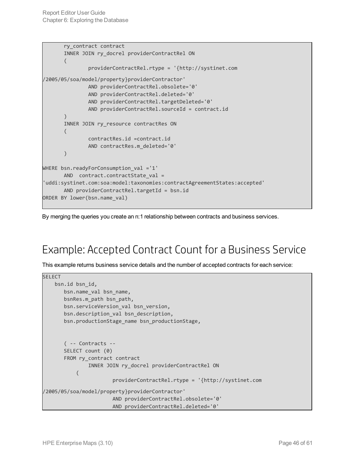```
ry_contract contract
       INNER JOIN ry_docrel providerContractRel ON
       (
               providerContractRel.rtype = '{http://systinet.com
/2005/05/soa/model/property}providerContractor'
               AND providerContractRel.obsolete='0'
               AND providerContractRel.deleted='0'
               AND providerContractRel.targetDeleted='0'
               AND providerContractRel.sourceId = contract.id
       )
       INNER JOIN ry_resource contractRes ON
       (
               contractRes.id =contract.id
               AND contractRes.m_deleted='0'
       )
WHERE bsn.readyForConsumption_val ='1'
       AND contract.contractState_val =
'uddi:systinet.com:soa:model:taxonomies:contractAgreementStates:accepted'
       AND providerContractRel.targetId = bsn.id
ORDER BY lower(bsn.name_val)
```
By merging the queries you create an n:1 relationship between contracts and business services.

## <span id="page-45-0"></span>Example: Accepted Contract Count for a Business Service

This example returns business service details and the number of accepted contracts for each service:

```
SELECT
    bsn.id bsn_id,
       bsn.name_val bsn_name,
       bsnRes.m_path bsn_path,
       bsn.serviceVersion_val bsn_version,
       bsn.description_val bsn_description,
       bsn.productionStage_name bsn_productionStage,
       ( -- Contracts --
       SELECT count (0)
       FROM ry_contract contract
               INNER JOIN ry_docrel providerContractRel ON
           (
                       providerContractRel.rtype = '{http://systinet.com
/2005/05/soa/model/property}providerContractor'
                       AND providerContractRel.obsolete='0'
                       AND providerContractRel.deleted='0'
```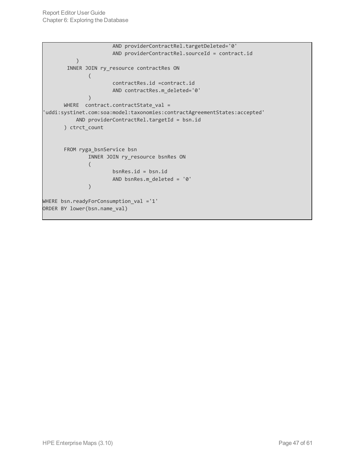```
AND providerContractRel.targetDeleted='0'
                       AND providerContractRel.sourceId = contract.id
           \mathcal{L}INNER JOIN ry_resource contractRes ON
               (
                       contractRes.id =contract.id
                       AND contractRes.m_deleted='0'
               )
       WHERE contract.contractState_val =
'uddi:systinet.com:soa:model:taxonomies:contractAgreementStates:accepted'
           AND providerContractRel.targetId = bsn.id
       ) ctrct_count
       FROM ryga_bsnService bsn
               INNER JOIN ry_resource bsnRes ON
               (
                       bsnRes.id = bsn.id
                       AND bsnRes.m_deleted = '0'
               )
WHERE bsn.readyForConsumption_val ='1'
ORDER BY lower(bsn.name_val)
```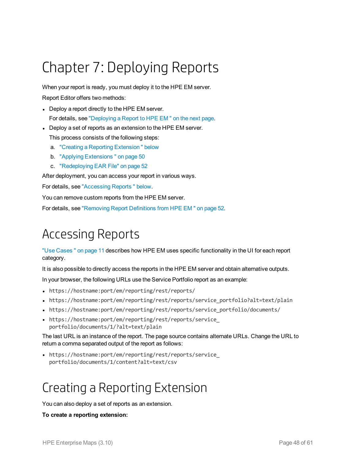# <span id="page-47-0"></span>Chapter 7: Deploying Reports

When your report is ready, you must deploy it to the HPE EM server.

Report Editor offers two methods:

- Deploy a report directly to the HPE EM server. For details, see ["Deploying](#page-48-0) a Report to HPE EM " on the next page.
- Deploy a set of reports as an extension to the HPE EM server. This process consists of the following steps:
	- a. "Creating a Reporting [Extension "](#page-47-2) below
	- b. "Applying [Extensions "](#page-49-0) on page 50
	- c. ["Redeploying](#page-51-0) EAR File" on page 52

After deployment, you can access your report in various ways.

For details, see ["Accessing](#page-47-1) Reports " below.

You can remove custom reports from the HPE EM server.

<span id="page-47-1"></span>For details, see ["Removing](#page-51-1) Report Definitions from HPE EM " on page 52.

## Accessing Reports

"Use [Cases "](#page-10-1) on page 11 describes how HPE EM uses specific functionality in the UI for each report category.

It is also possible to directly access the reports in the HPE EM server and obtain alternative outputs.

In your browser, the following URLs use the Service Portfolio report as an example:

- https://hostname:port/em/reporting/rest/reports/
- https://hostname:port/em/reporting/rest/reports/service portfolio?alt=text/plain
- https://hostname:port/em/reporting/rest/reports/service\_portfolio/documents/
- https://hostname:port/em/reporting/rest/reports/service portfolio/documents/1/?alt=text/plain

The last URL is an instance of the report. The page source contains alternate URLs. Change the URL to return a comma separated output of the report as follows:

<span id="page-47-2"></span>• https://hostname:port/em/reporting/rest/reports/service portfolio/documents/1/content?alt=text/csv

## Creating a Reporting Extension

You can also deploy a set of reports as an extension.

#### **To create a reporting extension:**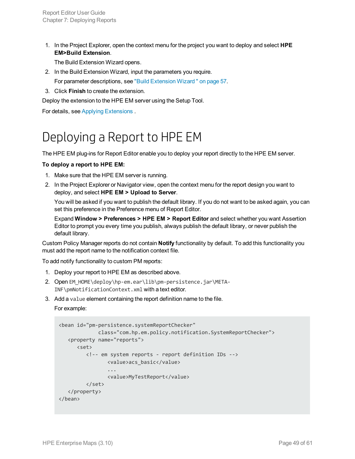1. In the Project Explorer, open the context menu for the project you want to deploy and select **HPE EM>Build Extension**.

The Build Extension Wizard opens.

- 2. In the Build Extension Wizard, input the parameters you require. For parameter descriptions, see "Build [Extension](#page-56-1) Wizard " on page 57.
- 3. Click **Finish** to create the extension.

Deploy the extension to the HPE EM server using the Setup Tool.

<span id="page-48-0"></span>For details, see Applying Extensions .

## Deploying a Report to HPE EM

The HPE EM plug-ins for Report Editor enable you to deploy your report directly to the HPE EM server.

#### **To deploy a report to HPE EM:**

- 1. Make sure that the HPE EM server is running.
- 2. In the Project Explorer or Navigator view, open the context menu for the report design you want to deploy, and select **HPE EM > Upload to Server**.

You will be asked if you want to publish the default library. If you do not want to be asked again, you can set this preference in the Preference menu of Report Editor.

Expand **Window > Preferences > HPE EM > Report Editor** and select whether you want Assertion Editor to prompt you every time you publish, always publish the default library, or never publish the default library.

Custom Policy Manager reports do not contain **Notify** functionality by default. To add this functionality you must add the report name to the notification context file.

To add notify functionality to custom PM reports:

- 1. Deploy your report to HPE EM as described above.
- 2. Open EM\_HOME\deploy\hp-em.ear\lib\pm-persistence.jar\META-INF\pmNotificationContext.xml with a text editor.
- 3. Add a value element containing the report definition name to the file.

For example:

```
<bean id="pm-persistence.systemReportChecker"
             class="com.hp.em.policy.notification.SystemReportChecker">
  <property name="reports">
     <set>
         <!-- em system reports - report definition IDs -->
                <value>acs_basic</value>
                ...
                <value>MyTestReport</value>
         </set>
   </property>
</bean>
```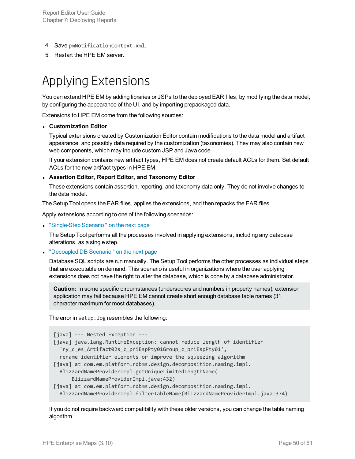- 4. Save pmNotificationContext.xml.
- <span id="page-49-0"></span>5. Restart the HPE EM server.

## Applying Extensions

You can extend HPE EM by adding libraries or JSPs to the deployed EAR files, by modifying the data model, by configuring the appearance of the UI, and by importing prepackaged data.

Extensions to HPE EM come from the following sources:

#### <sup>l</sup> **Customization Editor**

Typical extensions created by Customization Editor contain modifications to the data model and artifact appearance, and possibly data required by the customization (taxonomies). They may also contain new web components, which may include custom JSP and Java code.

If your extension contains new artifact types, HPE EM does not create default ACLs for them. Set default ACLs for the new artifact types in HPE EM.

#### <sup>l</sup> **Assertion Editor, Report Editor, and Taxonomy Editor**

These extensions contain assertion, reporting, and taxonomy data only. They do not involve changes to the data model.

The Setup Tool opens the EAR files, applies the extensions, and then repacks the EAR files.

Apply extensions according to one of the following scenarios:

**.** ["Single-Step](#page-50-1) Scenario" on the next page

The Setup Tool performs all the processes involved in applying extensions, including any database alterations, as a single step.

• ["Decoupled](#page-50-0) DB Scenario" on the next page

Database SQL scripts are run manually. The Setup Tool performs the other processes as individual steps that are executable on demand. This scenario is useful in organizations where the user applying extensions does not have the right to alter the database, which is done by a database administrator.

**Caution:** In some specific circumstances (underscores and numbers in property names), extension application may fail because HPE EM cannot create short enough database table names (31 character maximum for most databases).

The error in setup.log resembles the following:

```
[java] --- Nested Exception ---
[java] java.lang.RuntimeException: cannot reduce length of identifier
  'ry_c_es_Artifact02s_c_priEspPty01Group_c_priEspPty01',
  rename identifier elements or improve the squeezing algorithm
[java] at com.em.platform.rdbms.design.decomposition.naming.impl.
  BlizzardNameProviderImpl.getUniqueLimitedLengthName(
      BlizzardNameProviderImpl.java:432)
[java] at com.em.platform.rdbms.design.decomposition.naming.impl.
  BlizzardNameProviderImpl.filterTableName(BlizzardNameProviderImpl.java:374)
```
If you do not require backward compatibility with these older versions, you can change the table naming algorithm.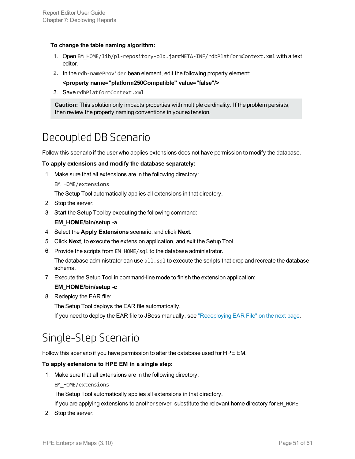#### **To change the table naming algorithm:**

- 1. Open EM\_HOME/lib/pl-repository-old.jar#META-INF/rdbPlatformContext.xml with a text editor.
- 2. In the rdb-nameProvider bean element, edit the following property element:
	- **<property name="platform250Compatible" value="false"/>**
- 3. Save rdbPlatformContext.xml

**Caution:** This solution only impacts properties with multiple cardinality. If the problem persists, then review the property naming conventions in your extension.

### <span id="page-50-0"></span>Decoupled DB Scenario

Follow this scenario if the user who applies extensions does not have permission to modify the database.

#### **To apply extensions and modify the database separately:**

1. Make sure that all extensions are in the following directory:

EM\_HOME/extensions

The Setup Tool automatically applies all extensions in that directory.

- 2. Stop the server.
- 3. Start the Setup Tool by executing the following command:

#### **EM\_HOME/bin/setup -a**.

- 4. Select the **Apply Extensions** scenario, and click **Next**.
- 5. Click **Next**, to execute the extension application, and exit the Setup Tool.
- 6. Provide the scripts from EM\_HOME/sql to the database administrator.

The database administrator can use  $a11$ ,  $sq1$  to execute the scripts that drop and recreate the database schema.

7. Execute the Setup Tool in command-line mode to finish the extension application:

#### **EM\_HOME/bin/setup -c**

8. Redeploy the EAR file:

The Setup Tool deploys the EAR file automatically.

<span id="page-50-1"></span>If you need to deploy the EAR file to JBoss manually, see ["Redeploying](#page-51-0) EAR File" on the next page.

### Single-Step Scenario

Follow this scenario if you have permission to alter the database used for HPE EM.

#### **To apply extensions to HPE EM in a single step:**

1. Make sure that all extensions are in the following directory:

#### EM\_HOME/extensions

The Setup Tool automatically applies all extensions in that directory.

If you are applying extensions to another server, substitute the relevant home directory for EM\_HOME

2. Stop the server.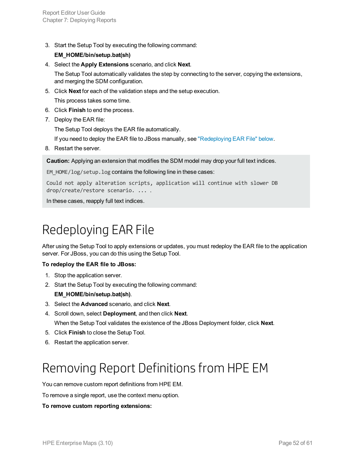3. Start the Setup Tool by executing the following command:

#### **EM\_HOME/bin/setup.bat(sh)**

4. Select the **Apply Extensions** scenario, and click **Next**.

The Setup Tool automatically validates the step by connecting to the server, copying the extensions, and merging the SDM configuration.

5. Click **Next** for each of the validation steps and the setup execution.

This process takes some time.

- 6. Click **Finish** to end the process.
- 7. Deploy the EAR file:

The Setup Tool deploys the EAR file automatically.

If you need to deploy the EAR file to JBoss manually, see ["Redeploying](#page-51-0) EAR File" below.

8. Restart the server.

**Caution:** Applying an extension that modifies the SDM model may drop your full text indices.

EM HOME/log/setup.log contains the following line in these cases:

Could not apply alteration scripts, application will continue with slower DB drop/create/restore scenario. ... .

<span id="page-51-0"></span>In these cases, reapply full text indices.

## Redeploying EAR File

After using the Setup Tool to apply extensions or updates, you must redeploy the EAR file to the application server. For JBoss, you can do this using the Setup Tool.

#### **To redeploy the EAR file to JBoss:**

- 1. Stop the application server.
- 2. Start the Setup Tool by executing the following command:

#### **EM\_HOME/bin/setup.bat(sh)**.

- 3. Select the **Advanced** scenario, and click **Next**.
- 4. Scroll down, select **Deployment**, and then click **Next**. When the Setup Tool validates the existence of the JBoss Deployment folder, click **Next**.
- 5. Click **Finish** to close the Setup Tool.
- <span id="page-51-1"></span>6. Restart the application server.

## Removing Report Definitions from HPE EM

You can remove custom report definitions from HPE EM.

To remove a single report, use the context menu option.

#### **To remove custom reporting extensions:**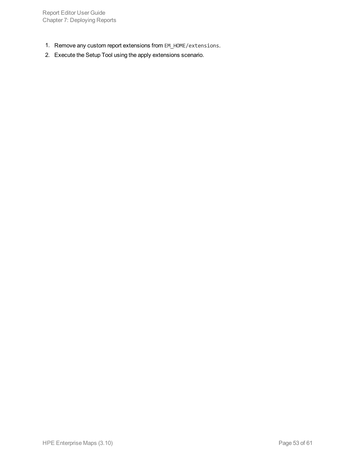Report Editor User Guide Chapter 7: Deploying Reports

- 1. Remove any custom report extensions from EM\_HOME/extensions.
- 2. Execute the Setup Tool using the apply extensions scenario.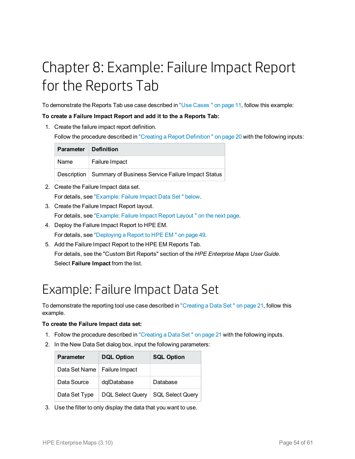# <span id="page-53-0"></span>Chapter 8: Example: Failure Impact Report for the Reports Tab

To demonstrate the Reports Tab use case described in "Use [Cases "](#page-10-1) on page 11, follow this example:

#### **To create a Failure Impact Report and add it to the a Reports Tab:**

1. Create the failure impact report definition.

Follow the procedure described in "Creating a Report [Definition "](#page-19-1) on page 20 with the following inputs:

| Parameter Definition |                                                                 |
|----------------------|-----------------------------------------------------------------|
| Name                 | <b>Failure Impact</b>                                           |
|                      | Description   Summary of Business Service Failure Impact Status |

- 2. Create the Failure Impact data set. For details, see ["Example:](#page-53-1) Failure Impact Data Set " below.
- 3. Create the Failure Impact Report layout. For details, see ["Example:](#page-54-0) Failure Impact Report Layout " on the next page.
- 4. Deploy the Failure Impact Report to HPE EM. For details, see ["Deploying](#page-48-0) a Report to HPE EM " on page 49.
- 5. Add the Failure Impact Report to the HPE EM Reports Tab. For details, see the "Custom Birt Reports" section of the *HPE Enterprise Maps User Guide*. Select **Failure Impact** from the list.

## <span id="page-53-1"></span>Example: Failure Impact Data Set

To demonstrate the reporting tool use case described in ["Creating](#page-20-0) a Data Set " on page 21, follow this example.

#### **To create the Failure Impact data set:**

- 1. Follow the procedure described in ["Creating](#page-20-0) a Data Set " on page 21 with the following inputs.
- 2. In the New Data Set dialog box, input the following parameters:

| <b>Parameter</b>               | <b>DQL Option</b>       | <b>SQL Option</b> |
|--------------------------------|-------------------------|-------------------|
| Data Set Name   Failure Impact |                         |                   |
| Data Source                    | dqlDatabase             | Database          |
| Data Set Type                  | <b>DQL Select Query</b> | SQL Select Query  |

3. Use the filter to only display the data that you want to use.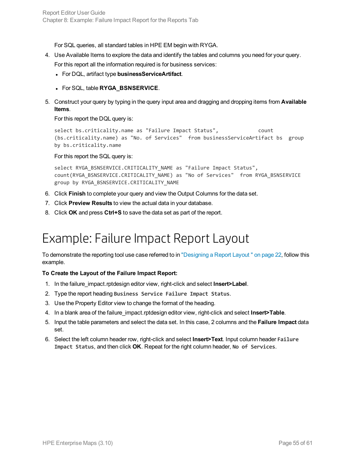For SQL queries, all standard tables in HPE EM begin with RYGA.

- 4. Use Available Items to explore the data and identify the tables and columns you need for your query. For this report all the information required is for business services:
	- **.** For DQL, artifact type **businessServiceArtifact**.
	- <sup>l</sup> For SQL, table **RYGA\_BSNSERVICE**.
- 5. Construct your query by typing in the query input area and dragging and dropping items from **Available Items**.

For this report the DQL query is:

```
select bs.criticality.name as "Failure Impact Status", count
(bs.criticality.name) as "No. of Services" from businessServiceArtifact bs group
by bs.criticality.name
```
For this report the SQL query is:

```
select RYGA_BSNSERVICE.CRITICALITY_NAME as "Failure Impact Status",
count(RYGA_BSNSERVICE.CRITICALITY_NAME) as "No of Services" from RYGA_BSNSERVICE
group by RYGA_BSNSERVICE.CRITICALITY_NAME
```
- 6. Click **Finish** to complete your query and view the Output Columns for the data set.
- 7. Click **Preview Results** to view the actual data in your database.
- <span id="page-54-0"></span>8. Click **OK** and press **Ctrl+S** to save the data set as part of the report.

## Example: Failure Impact Report Layout

To demonstrate the reporting tool use case referred to in ["Designing](#page-21-0) a Report Layout " on page 22, follow this example.

#### **To Create the Layout of the Failure Impact Report:**

- 1. In the failure\_impact.rptdesign editor view, right-click and select **Insert>Label**.
- 2. Type the report heading **Business Service Failure Impact Status**.
- 3. Use the Property Editor view to change the format of the heading.
- 4. In a blank area of the failure\_impact.rptdesign editor view, right-click and select **Insert>Table**.
- 5. Input the table parameters and select the data set. In this case, 2 columns and the **Failure Impact** data set.
- 6. Select the left column header row, right-click and select **Insert>Text**. Input column header **Failure Impact Status**, and then click **OK**. Repeat for the right column header, **No of Services**.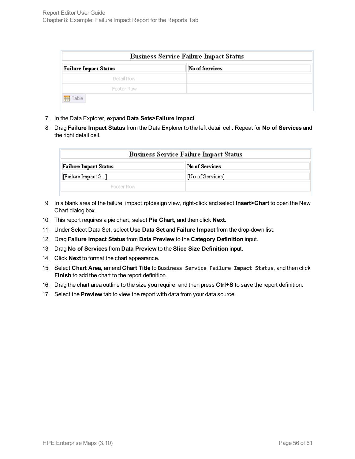| <b>Business Service Failure Impact Status</b> |                |  |  |
|-----------------------------------------------|----------------|--|--|
| <b>Failure Impact Status</b>                  | No of Services |  |  |
| Detail Row                                    |                |  |  |
| Footer Row                                    |                |  |  |
| Table<br>用                                    |                |  |  |

- 7. In the Data Explorer, expand **Data Sets>Failure Impact**.
- 8. Drag **Failure Impact Status** from the Data Explorer to the left detail cell. Repeat for **No of Services** and the right detail cell.

| <b>Business Service Failure Impact Status</b> |                  |  |
|-----------------------------------------------|------------------|--|
| <b>Failure Impact Status</b>                  | No of Services   |  |
| [Failure Impact S]                            | [No of Services] |  |
| Footer Row                                    |                  |  |

- 9. In a blank area of the failure\_impact.rptdesign view, right-click and select **Insert>Chart** to open the New Chart dialog box.
- 10. This report requires a pie chart, select **Pie Chart**, and then click **Next**.
- 11. Under Select Data Set, select **Use Data Set** and **Failure Impact** from the drop-down list.
- 12. Drag **Failure Impact Status** from **Data Preview** to the **Category Definition** input.
- 13. Drag **No of Services** from **Data Preview** to the **Slice Size Definition** input.
- 14. Click **Next** to format the chart appearance.
- 15. Select **Chart Area**, amend **Chart Title** to **Business Service Failure Impact Status**, and then click **Finish** to add the chart to the report definition.
- 16. Drag the chart area outline to the size you require, and then press **Ctrl+S** to save the report definition.
- 17. Select the **Preview** tab to view the report with data from your data source.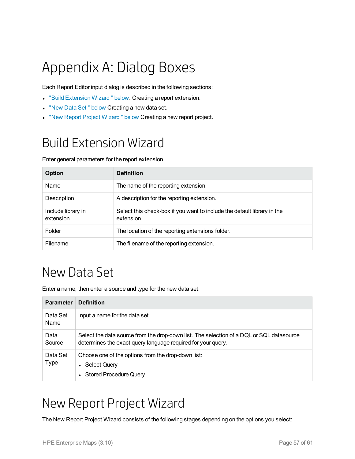# <span id="page-56-0"></span>Appendix A: Dialog Boxes

Each Report Editor input dialog is described in the following sections:

- **.** "Build [Extension](#page-56-1) Wizard" below. Creating a report extension.
- . "New Data Set" [below](#page-56-2) Creating a new data set.
- <span id="page-56-1"></span>. "New Report Project Wizard" below Creating a new report project.

## Build Extension Wizard

Enter general parameters for the report extension.

| <b>Option</b>                   | <b>Definition</b>                                                                     |
|---------------------------------|---------------------------------------------------------------------------------------|
| Name                            | The name of the reporting extension.                                                  |
| Description                     | A description for the reporting extension.                                            |
| Include library in<br>extension | Select this check-box if you want to include the default library in the<br>extension. |
| Folder                          | The location of the reporting extensions folder.                                      |
| Filename                        | The filename of the reporting extension.                                              |

## <span id="page-56-2"></span>New Data Set

Enter a name, then enter a source and type for the new data set.

| <b>Parameter</b>        | <b>Definition</b>                                                                                                                                        |
|-------------------------|----------------------------------------------------------------------------------------------------------------------------------------------------------|
| Data Set<br><b>Name</b> | Input a name for the data set.                                                                                                                           |
| Data<br>Source          | Select the data source from the drop-down list. The selection of a DQL or SQL datasource<br>determines the exact query language required for your query. |
| Data Set<br>Type        | Choose one of the options from the drop-down list:<br>• Select Query<br>• Stored Procedure Query                                                         |

## <span id="page-56-3"></span>New Report Project Wizard

The New Report Project Wizard consists of the following stages depending on the options you select: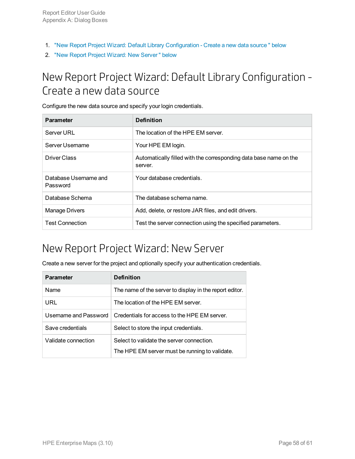- 1. "New Report Project Wizard: Default Library [Configuration](#page-57-0) Create a new data source " below
- <span id="page-57-0"></span>2. "New Report Project Wizard: New [Server "](#page-57-1) below

### New Report Project Wizard: Default Library Configuration -Create a new data source

Configure the new data source and specify your login credentials.

| <b>Parameter</b>                  | <b>Definition</b>                                                            |
|-----------------------------------|------------------------------------------------------------------------------|
| Server URL                        | The location of the HPE EM server.                                           |
| Server Username                   | Your HPE EM login.                                                           |
| Driver Class                      | Automatically filled with the corresponding data base name on the<br>server. |
| Database Username and<br>Password | Your database credentials.                                                   |
| Database Schema                   | The database schema name.                                                    |
| <b>Manage Drivers</b>             | Add, delete, or restore JAR files, and edit drivers.                         |
| <b>Test Connection</b>            | Test the server connection using the specified parameters.                   |

### <span id="page-57-1"></span>New Report Project Wizard: New Server

Create a new server for the project and optionally specify your authentication credentials.

| <b>Parameter</b>      | <b>Definition</b>                                       |
|-----------------------|---------------------------------------------------------|
| Name                  | The name of the server to display in the report editor. |
| URL                   | The location of the HPE EM server.                      |
| Username and Password | Credentials for access to the HPE EM server.            |
| Save credentials      | Select to store the input credentials.                  |
| Validate connection   | Select to validate the server connection.               |
|                       | The HPE EM server must be running to validate.          |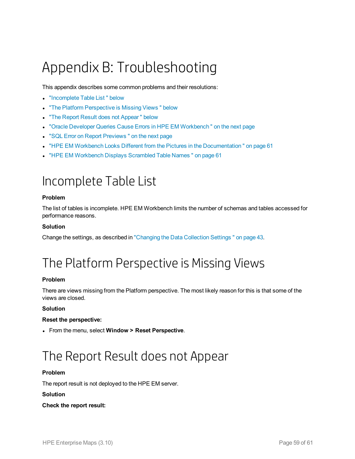# <span id="page-58-0"></span>Appendix B: Troubleshooting

This appendix describes some common problems and their resolutions:

- ["Incomplete](#page-58-1) Table List" below
- . "The Platform [Perspective](#page-58-2) is Missing Views " below
- "The Report Result does not Appear" below
- "Oracle Developer Queries Cause Errors in HPE EM Workbench" on the next page
- **.** "SQL Error on Report [Previews "](#page-59-1) on the next page
- "HPE EM Workbench Looks Different from the Pictures in the Documentation" on page 61
- <span id="page-58-1"></span>. "HPE EM [Workbench](#page-60-1) Displays Scrambled Table Names" on page 61

## Incomplete Table List

#### **Problem**

The list of tables is incomplete. HPE EM Workbench limits the number of schemas and tables accessed for performance reasons.

#### **Solution**

<span id="page-58-2"></span>Change the settings, as described in ["Changing](#page-42-0) the Data Collection Settings " on page 43.

## The Platform Perspective is Missing Views

#### **Problem**

There are views missing from the Platform perspective. The most likely reason for this is that some of the views are closed.

#### **Solution**

#### **Reset the perspective:**

<span id="page-58-3"></span><sup>l</sup> From the menu, select **Window > Reset Perspective**.

## The Report Result does not Appear

#### **Problem**

The report result is not deployed to the HPE EM server.

#### **Solution**

#### **Check the report result:**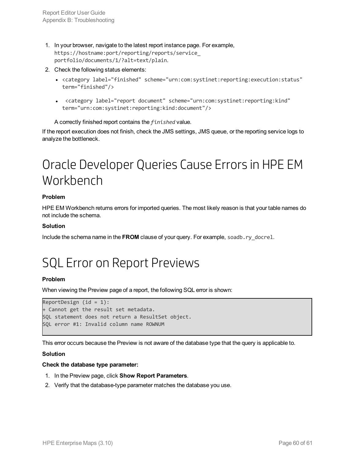- 1. In your browser, navigate to the latest report instance page. For example, https://hostname:port/reporting/reports/service\_ portfolio/documents/1/?alt=text/plain.
- 2. Check the following status elements:
	- <category label="finished" scheme="urn:com:systinet:reporting:execution:status" term="finished"/>
	- <sup>l</sup> <category label="report document" scheme="urn:com:systinet:reporting:kind" term="urn:com:systinet:reporting:kind:document"/>

A correctly finished report contains the *finished* value.

<span id="page-59-0"></span>If the report execution does not finish, check the JMS settings, JMS queue, or the reporting service logs to analyze the bottleneck.

## Oracle Developer Queries Cause Errors in HPE EM Workbench

#### **Problem**

HPE EM Workbench returns errors for imported queries. The most likely reason is that your table names do not include the schema.

#### **Solution**

<span id="page-59-1"></span>Include the schema name in the **FROM** clause of your query. For example, soadb.ry\_docrel.

## SQL Error on Report Previews

#### **Problem**

When viewing the Preview page of a report, the following SQL error is shown:

```
ReportDesign (id = 1):+ Cannot get the result set metadata.
SQL statement does not return a ResultSet object.
SQL error #1: Invalid column name ROWNUM
```
This error occurs because the Preview is not aware of the database type that the query is applicable to.

#### **Solution**

#### **Check the database type parameter:**

- 1. In the Preview page, click **Show Report Parameters**.
- 2. Verify that the database-type parameter matches the database you use.